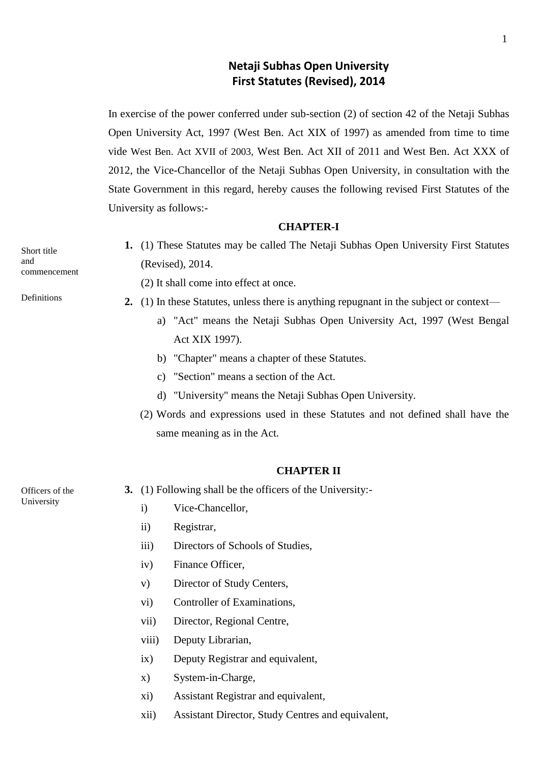# **Netaji Subhas Open University First Statutes (Revised), 2014**

In exercise of the power conferred under sub-section (2) of section 42 of the Netaji Subhas Open University Act, 1997 (West Ben. Act XIX of 1997) as amended from time to time vide West Ben. Act XVII of 2003, West Ben. Act XII of 2011 and West Ben. Act XXX of 2012, the Vice-Chancellor of the Netaji Subhas Open University, in consultation with the State Government in this regard, hereby causes the following revised First Statutes of the University as follows:-

#### **CHAPTER-I**

**1.** (1) These Statutes may be called The Netaji Subhas Open University First Statutes (Revised), 2014.

- (2) It shall come into effect at once.
- **2.** (1) In these Statutes, unless there is anything repugnant in the subject or context
	- a) "Act" means the Netaji Subhas Open University Act, 1997 (West Bengal Act XIX 1997).
	- b) "Chapter" means a chapter of these Statutes.
	- c) "Section" means a section of the Act.
	- d) "University" means the Netaji Subhas Open University.
	- (2) Words and expressions used in these Statutes and not defined shall have the same meaning as in the Act.

## **CHAPTER II**

Officers of the University

- **3.** (1) Following shall be the officers of the University:
	- i) Vice-Chancellor,
	- ii) Registrar,
	- iii) Directors of Schools of Studies,
	- iv) Finance Officer,
	- v) Director of Study Centers,
	- vi) Controller of Examinations,
	- vii) Director, Regional Centre,
	- viii) Deputy Librarian,
	- ix) Deputy Registrar and equivalent,
	- x) System-in-Charge,
	- xi) Assistant Registrar and equivalent,
	- xii) Assistant Director, Study Centres and equivalent,

Short title and commencement

Definitions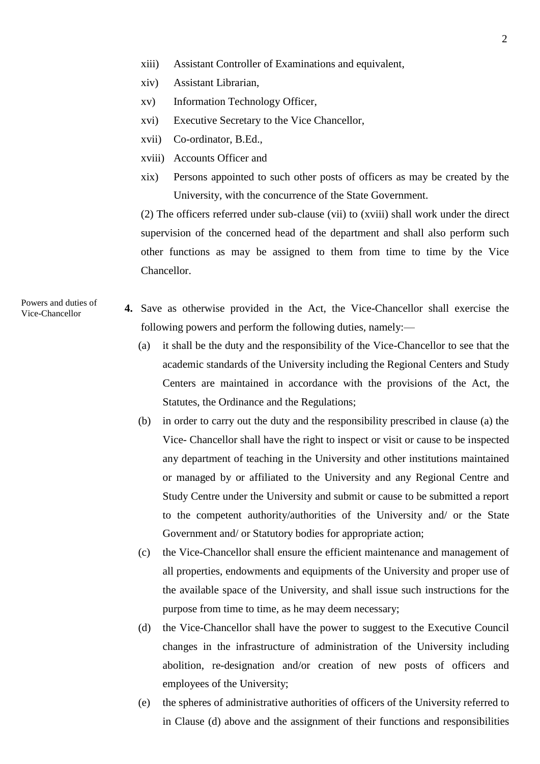- xiii) Assistant Controller of Examinations and equivalent,
- xiv) Assistant Librarian,
- xv) Information Technology Officer,
- xvi) Executive Secretary to the Vice Chancellor,
- xvii) Co-ordinator, B.Ed.,
- xviii) Accounts Officer and
- xix) Persons appointed to such other posts of officers as may be created by the University, with the concurrence of the State Government.

(2) The officers referred under sub-clause (vii) to (xviii) shall work under the direct supervision of the concerned head of the department and shall also perform such other functions as may be assigned to them from time to time by the Vice Chancellor.

Powers and duties of Vice-Chancellor

- **4.** Save as otherwise provided in the Act, the Vice-Chancellor shall exercise the following powers and perform the following duties, namely:—
	- (a) it shall be the duty and the responsibility of the Vice-Chancellor to see that the academic standards of the University including the Regional Centers and Study Centers are maintained in accordance with the provisions of the Act, the Statutes, the Ordinance and the Regulations;
	- (b) in order to carry out the duty and the responsibility prescribed in clause (a) the Vice- Chancellor shall have the right to inspect or visit or cause to be inspected any department of teaching in the University and other institutions maintained or managed by or affiliated to the University and any Regional Centre and Study Centre under the University and submit or cause to be submitted a report to the competent authority/authorities of the University and/ or the State Government and/ or Statutory bodies for appropriate action;
	- (c) the Vice-Chancellor shall ensure the efficient maintenance and management of all properties, endowments and equipments of the University and proper use of the available space of the University, and shall issue such instructions for the purpose from time to time, as he may deem necessary;
	- (d) the Vice-Chancellor shall have the power to suggest to the Executive Council changes in the infrastructure of administration of the University including abolition, re-designation and/or creation of new posts of officers and employees of the University;
	- (e) the spheres of administrative authorities of officers of the University referred to in Clause (d) above and the assignment of their functions and responsibilities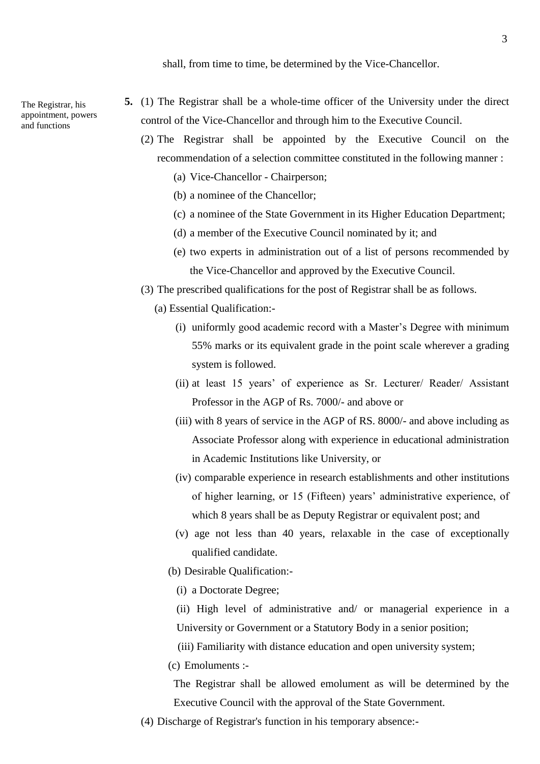The Registrar, his appointment, powers and functions

- **5.** (1) The Registrar shall be a whole-time officer of the University under the direct control of the Vice-Chancellor and through him to the Executive Council.
	- (2) The Registrar shall be appointed by the Executive Council on the recommendation of a selection committee constituted in the following manner :
		- (a) Vice-Chancellor Chairperson;
		- (b) a nominee of the Chancellor;
		- (c) a nominee of the State Government in its Higher Education Department;
		- (d) a member of the Executive Council nominated by it; and
		- (e) two experts in administration out of a list of persons recommended by the Vice-Chancellor and approved by the Executive Council.
	- (3) The prescribed qualifications for the post of Registrar shall be as follows.
		- (a) Essential Qualification:-
			- (i) uniformly good academic record with a Master's Degree with minimum 55% marks or its equivalent grade in the point scale wherever a grading system is followed.
			- (ii) at least 15 years' of experience as Sr. Lecturer/ Reader/ Assistant Professor in the AGP of Rs. 7000/- and above or
			- (iii) with 8 years of service in the AGP of RS. 8000/- and above including as Associate Professor along with experience in educational administration in Academic Institutions like University, or
			- (iv) comparable experience in research establishments and other institutions of higher learning, or 15 (Fifteen) years' administrative experience, of which 8 years shall be as Deputy Registrar or equivalent post; and
			- (v) age not less than 40 years, relaxable in the case of exceptionally qualified candidate.
			- (b) Desirable Qualification:-
				- (i) a Doctorate Degree;
				- (ii) High level of administrative and/ or managerial experience in a University or Government or a Statutory Body in a senior position;
				- (iii) Familiarity with distance education and open university system;
			- (c) Emoluments :-

The Registrar shall be allowed emolument as will be determined by the Executive Council with the approval of the State Government.

(4) Discharge of Registrar's function in his temporary absence:-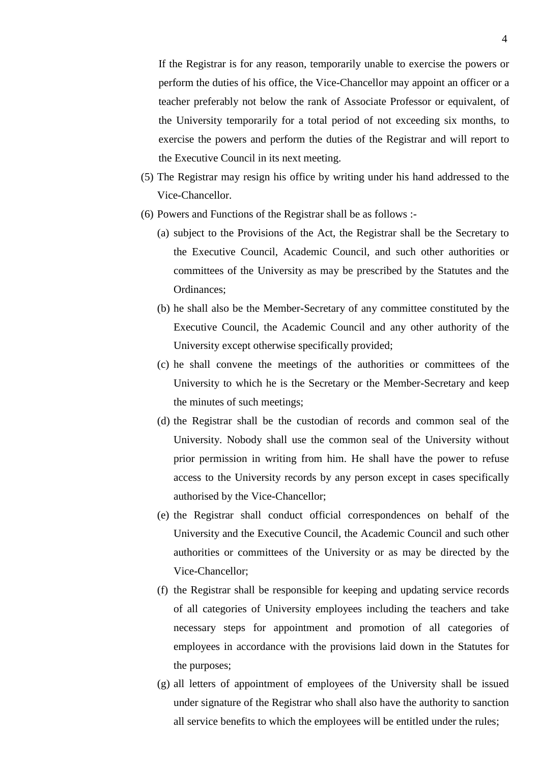If the Registrar is for any reason, temporarily unable to exercise the powers or perform the duties of his office, the Vice-Chancellor may appoint an officer or a teacher preferably not below the rank of Associate Professor or equivalent, of the University temporarily for a total period of not exceeding six months, to exercise the powers and perform the duties of the Registrar and will report to the Executive Council in its next meeting.

- (5) The Registrar may resign his office by writing under his hand addressed to the Vice-Chancellor.
- (6) Powers and Functions of the Registrar shall be as follows :-
	- (a) subject to the Provisions of the Act, the Registrar shall be the Secretary to the Executive Council, Academic Council, and such other authorities or committees of the University as may be prescribed by the Statutes and the Ordinances;
	- (b) he shall also be the Member-Secretary of any committee constituted by the Executive Council, the Academic Council and any other authority of the University except otherwise specifically provided;
	- (c) he shall convene the meetings of the authorities or committees of the University to which he is the Secretary or the Member-Secretary and keep the minutes of such meetings;
	- (d) the Registrar shall be the custodian of records and common seal of the University. Nobody shall use the common seal of the University without prior permission in writing from him. He shall have the power to refuse access to the University records by any person except in cases specifically authorised by the Vice-Chancellor;
	- (e) the Registrar shall conduct official correspondences on behalf of the University and the Executive Council, the Academic Council and such other authorities or committees of the University or as may be directed by the Vice-Chancellor;
	- (f) the Registrar shall be responsible for keeping and updating service records of all categories of University employees including the teachers and take necessary steps for appointment and promotion of all categories of employees in accordance with the provisions laid down in the Statutes for the purposes;
	- (g) all letters of appointment of employees of the University shall be issued under signature of the Registrar who shall also have the authority to sanction all service benefits to which the employees will be entitled under the rules;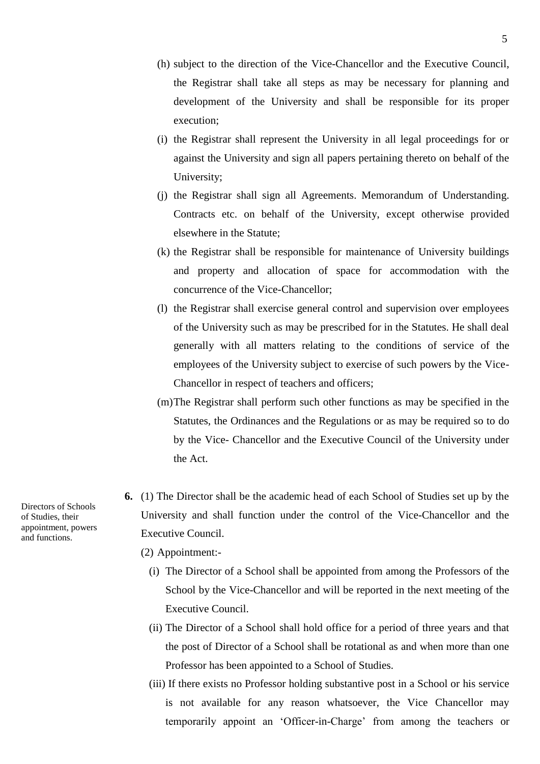- (h) subject to the direction of the Vice-Chancellor and the Executive Council, the Registrar shall take all steps as may be necessary for planning and development of the University and shall be responsible for its proper execution;
- (i) the Registrar shall represent the University in all legal proceedings for or against the University and sign all papers pertaining thereto on behalf of the University;
- (j) the Registrar shall sign all Agreements. Memorandum of Understanding. Contracts etc. on behalf of the University, except otherwise provided elsewhere in the Statute;
- (k) the Registrar shall be responsible for maintenance of University buildings and property and allocation of space for accommodation with the concurrence of the Vice-Chancellor;
- (l) the Registrar shall exercise general control and supervision over employees of the University such as may be prescribed for in the Statutes. He shall deal generally with all matters relating to the conditions of service of the employees of the University subject to exercise of such powers by the Vice-Chancellor in respect of teachers and officers;
- (m)The Registrar shall perform such other functions as may be specified in the Statutes, the Ordinances and the Regulations or as may be required so to do by the Vice- Chancellor and the Executive Council of the University under the Act.
- **6.** (1) The Director shall be the academic head of each School of Studies set up by the University and shall function under the control of the Vice-Chancellor and the Executive Council.

(2) Appointment:-

- (i) The Director of a School shall be appointed from among the Professors of the School by the Vice-Chancellor and will be reported in the next meeting of the Executive Council.
- (ii) The Director of a School shall hold office for a period of three years and that the post of Director of a School shall be rotational as and when more than one Professor has been appointed to a School of Studies.
- (iii) If there exists no Professor holding substantive post in a School or his service is not available for any reason whatsoever, the Vice Chancellor may temporarily appoint an 'Officer-in-Charge' from among the teachers or

Directors of Schools of Studies, their appointment, powers and functions.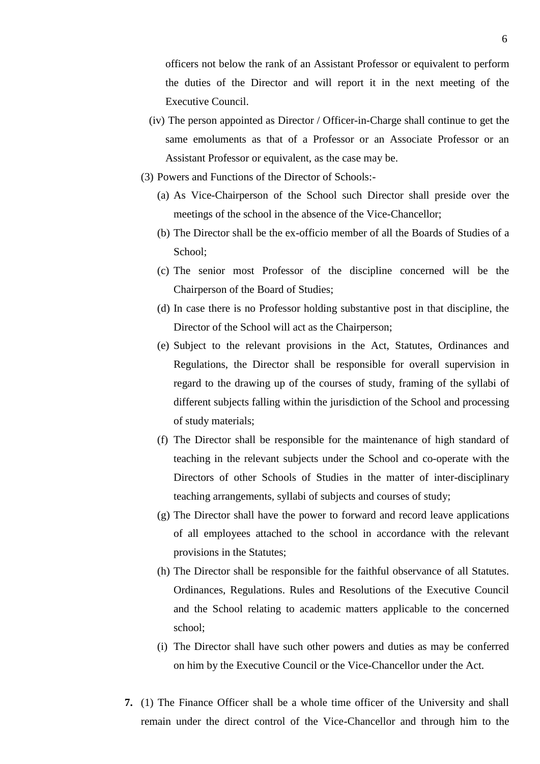officers not below the rank of an Assistant Professor or equivalent to perform the duties of the Director and will report it in the next meeting of the Executive Council.

- (iv) The person appointed as Director / Officer-in-Charge shall continue to get the same emoluments as that of a Professor or an Associate Professor or an Assistant Professor or equivalent, as the case may be.
- (3) Powers and Functions of the Director of Schools:-
	- (a) As Vice-Chairperson of the School such Director shall preside over the meetings of the school in the absence of the Vice-Chancellor;
	- (b) The Director shall be the ex-officio member of all the Boards of Studies of a School;
	- (c) The senior most Professor of the discipline concerned will be the Chairperson of the Board of Studies;
	- (d) In case there is no Professor holding substantive post in that discipline, the Director of the School will act as the Chairperson;
	- (e) Subject to the relevant provisions in the Act, Statutes, Ordinances and Regulations, the Director shall be responsible for overall supervision in regard to the drawing up of the courses of study, framing of the syllabi of different subjects falling within the jurisdiction of the School and processing of study materials;
	- (f) The Director shall be responsible for the maintenance of high standard of teaching in the relevant subjects under the School and co-operate with the Directors of other Schools of Studies in the matter of inter-disciplinary teaching arrangements, syllabi of subjects and courses of study;
	- (g) The Director shall have the power to forward and record leave applications of all employees attached to the school in accordance with the relevant provisions in the Statutes;
	- (h) The Director shall be responsible for the faithful observance of all Statutes. Ordinances, Regulations. Rules and Resolutions of the Executive Council and the School relating to academic matters applicable to the concerned school;
	- (i) The Director shall have such other powers and duties as may be conferred on him by the Executive Council or the Vice-Chancellor under the Act.
- **7.** (1) The Finance Officer shall be a whole time officer of the University and shall remain under the direct control of the Vice-Chancellor and through him to the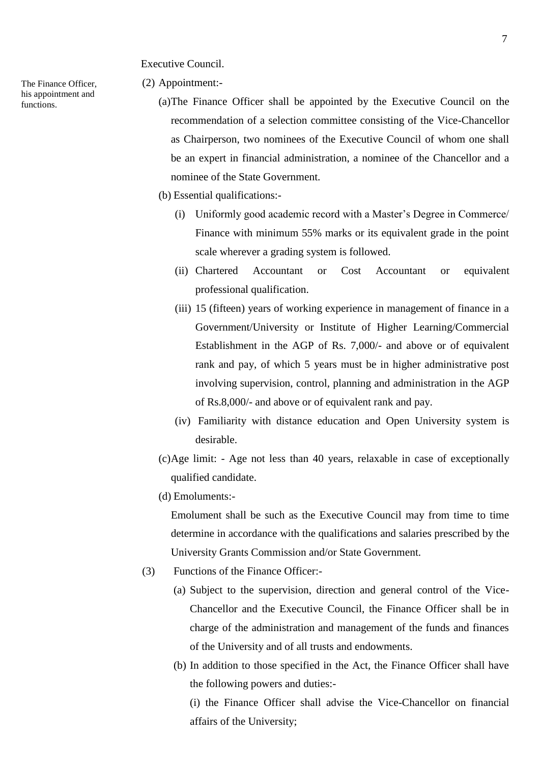Executive Council.

The Finance Officer, his appointment and functions.

- (2) Appointment:-
	- (a)The Finance Officer shall be appointed by the Executive Council on the recommendation of a selection committee consisting of the Vice-Chancellor as Chairperson, two nominees of the Executive Council of whom one shall be an expert in financial administration, a nominee of the Chancellor and a nominee of the State Government.
	- (b) Essential qualifications:-
		- (i) Uniformly good academic record with a Master's Degree in Commerce/ Finance with minimum 55% marks or its equivalent grade in the point scale wherever a grading system is followed.
		- (ii) Chartered Accountant or Cost Accountant or equivalent professional qualification.
		- (iii) 15 (fifteen) years of working experience in management of finance in a Government/University or Institute of Higher Learning/Commercial Establishment in the AGP of Rs. 7,000/- and above or of equivalent rank and pay, of which 5 years must be in higher administrative post involving supervision, control, planning and administration in the AGP of Rs.8,000/- and above or of equivalent rank and pay.
		- (iv) Familiarity with distance education and Open University system is desirable.
	- (c)Age limit: Age not less than 40 years, relaxable in case of exceptionally qualified candidate.
	- (d) Emoluments:-

Emolument shall be such as the Executive Council may from time to time determine in accordance with the qualifications and salaries prescribed by the University Grants Commission and/or State Government.

- (3) Functions of the Finance Officer:-
	- (a) Subject to the supervision, direction and general control of the Vice-Chancellor and the Executive Council, the Finance Officer shall be in charge of the administration and management of the funds and finances of the University and of all trusts and endowments.
	- (b) In addition to those specified in the Act, the Finance Officer shall have the following powers and duties:-

(i) the Finance Officer shall advise the Vice-Chancellor on financial affairs of the University;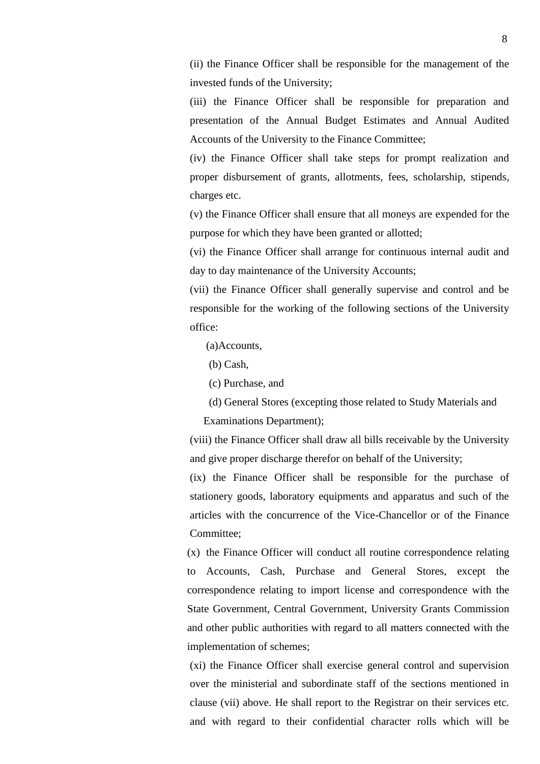(ii) the Finance Officer shall be responsible for the management of the invested funds of the University;

(iii) the Finance Officer shall be responsible for preparation and presentation of the Annual Budget Estimates and Annual Audited Accounts of the University to the Finance Committee;

(iv) the Finance Officer shall take steps for prompt realization and proper disbursement of grants, allotments, fees, scholarship, stipends, charges etc.

(v) the Finance Officer shall ensure that all moneys are expended for the purpose for which they have been granted or allotted;

(vi) the Finance Officer shall arrange for continuous internal audit and day to day maintenance of the University Accounts;

(vii) the Finance Officer shall generally supervise and control and be responsible for the working of the following sections of the University office:

(a)Accounts,

(b) Cash,

(c) Purchase, and

(d) General Stores (excepting those related to Study Materials and

Examinations Department);

(viii) the Finance Officer shall draw all bills receivable by the University and give proper discharge therefor on behalf of the University;

(ix) the Finance Officer shall be responsible for the purchase of stationery goods, laboratory equipments and apparatus and such of the articles with the concurrence of the Vice-Chancellor or of the Finance Committee;

(x) the Finance Officer will conduct all routine correspondence relating to Accounts, Cash, Purchase and General Stores, except the correspondence relating to import license and correspondence with the State Government, Central Government, University Grants Commission and other public authorities with regard to all matters connected with the implementation of schemes;

(xi) the Finance Officer shall exercise general control and supervision over the ministerial and subordinate staff of the sections mentioned in clause (vii) above. He shall report to the Registrar on their services etc. and with regard to their confidential character rolls which will be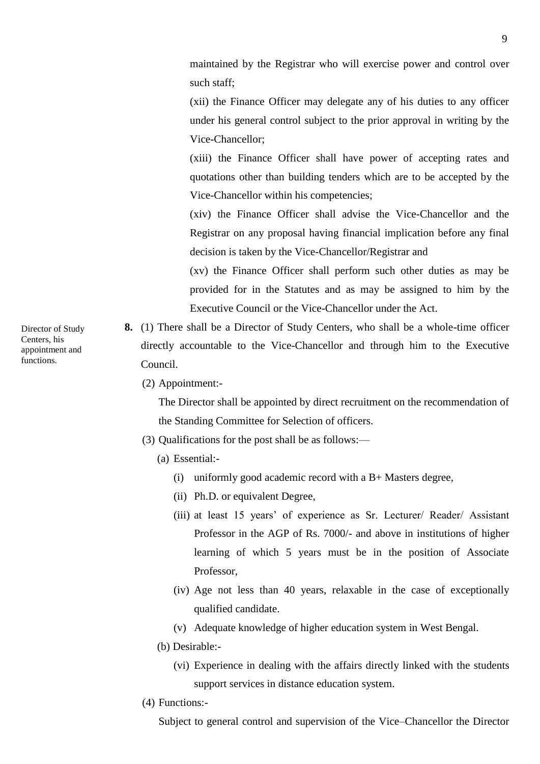maintained by the Registrar who will exercise power and control over such staff;

(xii) the Finance Officer may delegate any of his duties to any officer under his general control subject to the prior approval in writing by the Vice-Chancellor;

(xiii) the Finance Officer shall have power of accepting rates and quotations other than building tenders which are to be accepted by the Vice-Chancellor within his competencies;

(xiv) the Finance Officer shall advise the Vice-Chancellor and the Registrar on any proposal having financial implication before any final decision is taken by the Vice-Chancellor/Registrar and

(xv) the Finance Officer shall perform such other duties as may be provided for in the Statutes and as may be assigned to him by the Executive Council or the Vice-Chancellor under the Act.

- **8.** (1) There shall be a Director of Study Centers, who shall be a whole-time officer directly accountable to the Vice-Chancellor and through him to the Executive Council.
	- (2) Appointment:-

The Director shall be appointed by direct recruitment on the recommendation of the Standing Committee for Selection of officers.

- (3) Qualifications for the post shall be as follows:—
	- (a) Essential:-
		- (i) uniformly good academic record with a B+ Masters degree,
		- (ii) Ph.D. or equivalent Degree,
		- (iii) at least 15 years' of experience as Sr. Lecturer/ Reader/ Assistant Professor in the AGP of Rs. 7000/- and above in institutions of higher learning of which 5 years must be in the position of Associate Professor,
		- (iv) Age not less than 40 years, relaxable in the case of exceptionally qualified candidate.
		- (v) Adequate knowledge of higher education system in West Bengal.
	- (b) Desirable:-
		- (vi) Experience in dealing with the affairs directly linked with the students support services in distance education system.
- (4) Functions:-

Subject to general control and supervision of the Vice–Chancellor the Director

Director of Study Centers, his appointment and functions.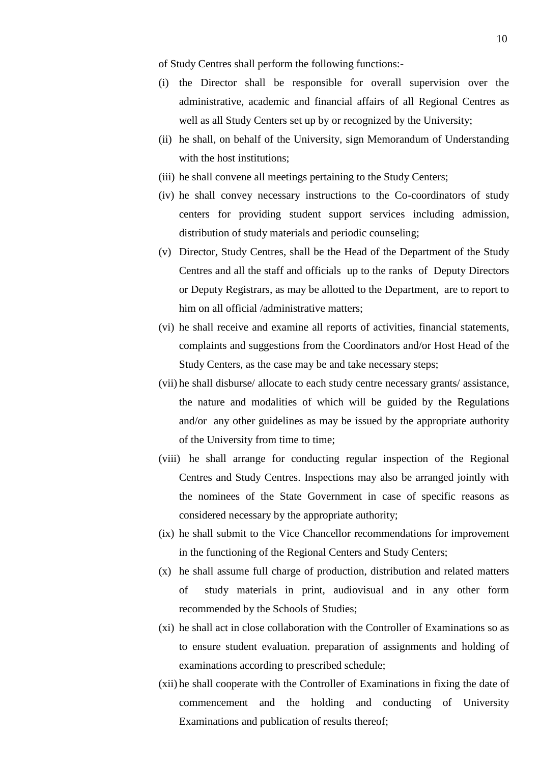of Study Centres shall perform the following functions:-

- (i) the Director shall be responsible for overall supervision over the administrative, academic and financial affairs of all Regional Centres as well as all Study Centers set up by or recognized by the University;
- (ii) he shall, on behalf of the University, sign Memorandum of Understanding with the host institutions;
- (iii) he shall convene all meetings pertaining to the Study Centers;
- (iv) he shall convey necessary instructions to the Co-coordinators of study centers for providing student support services including admission, distribution of study materials and periodic counseling;
- (v) Director, Study Centres, shall be the Head of the Department of the Study Centres and all the staff and officials up to the ranks of Deputy Directors or Deputy Registrars, as may be allotted to the Department, are to report to him on all official /administrative matters:
- (vi) he shall receive and examine all reports of activities, financial statements, complaints and suggestions from the Coordinators and/or Host Head of the Study Centers, as the case may be and take necessary steps;
- (vii) he shall disburse/ allocate to each study centre necessary grants/ assistance, the nature and modalities of which will be guided by the Regulations and/or any other guidelines as may be issued by the appropriate authority of the University from time to time;
- (viii) he shall arrange for conducting regular inspection of the Regional Centres and Study Centres. Inspections may also be arranged jointly with the nominees of the State Government in case of specific reasons as considered necessary by the appropriate authority;
- (ix) he shall submit to the Vice Chancellor recommendations for improvement in the functioning of the Regional Centers and Study Centers;
- (x) he shall assume full charge of production, distribution and related matters of study materials in print, audiovisual and in any other form recommended by the Schools of Studies;
- (xi) he shall act in close collaboration with the Controller of Examinations so as to ensure student evaluation. preparation of assignments and holding of examinations according to prescribed schedule;
- (xii) he shall cooperate with the Controller of Examinations in fixing the date of commencement and the holding and conducting of University Examinations and publication of results thereof;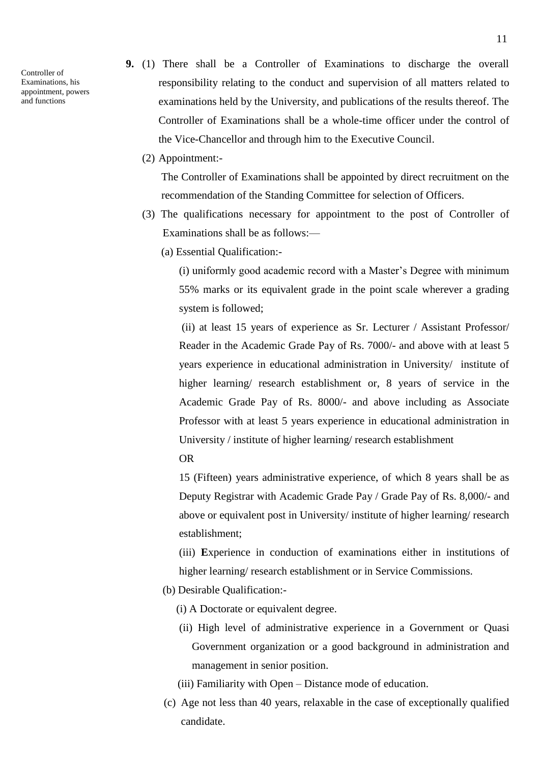Controller of Examinations, his appointment, powers and functions

- **9.** (1) There shall be a Controller of Examinations to discharge the overall responsibility relating to the conduct and supervision of all matters related to examinations held by the University, and publications of the results thereof. The Controller of Examinations shall be a whole-time officer under the control of the Vice-Chancellor and through him to the Executive Council.
	- (2) Appointment:-

The Controller of Examinations shall be appointed by direct recruitment on the recommendation of the Standing Committee for selection of Officers.

- (3) The qualifications necessary for appointment to the post of Controller of Examinations shall be as follows:—
	- (a) Essential Qualification:-

(i) uniformly good academic record with a Master's Degree with minimum 55% marks or its equivalent grade in the point scale wherever a grading system is followed;

(ii) at least 15 years of experience as Sr. Lecturer / Assistant Professor/ Reader in the Academic Grade Pay of Rs. 7000/- and above with at least 5 years experience in educational administration in University/ institute of higher learning/ research establishment or, 8 years of service in the Academic Grade Pay of Rs. 8000/- and above including as Associate Professor with at least 5 years experience in educational administration in University / institute of higher learning/ research establishment OR

15 (Fifteen) years administrative experience, of which 8 years shall be as Deputy Registrar with Academic Grade Pay / Grade Pay of Rs. 8,000/- and above or equivalent post in University/ institute of higher learning/ research establishment;

(iii) **E**xperience in conduction of examinations either in institutions of higher learning/ research establishment or in Service Commissions.

(b) Desirable Qualification:-

(i) A Doctorate or equivalent degree.

- (ii) High level of administrative experience in a Government or Quasi Government organization or a good background in administration and management in senior position.
- (iii) Familiarity with Open Distance mode of education.
- (c) Age not less than 40 years, relaxable in the case of exceptionally qualified candidate.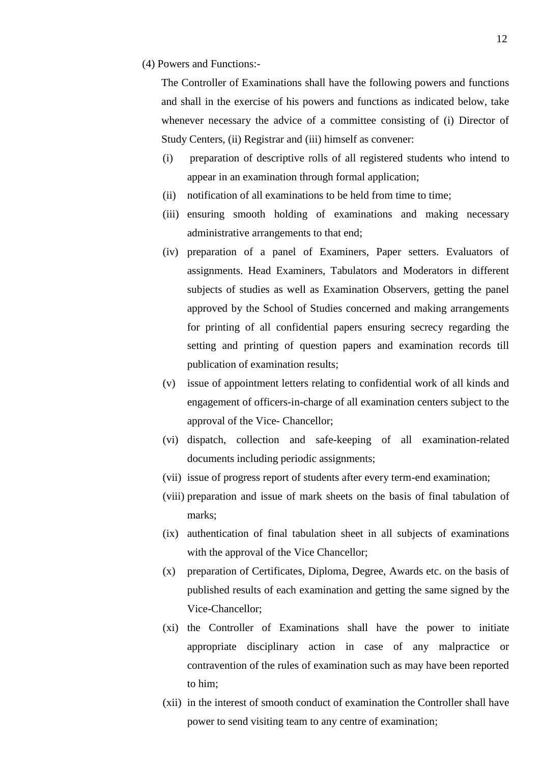(4) Powers and Functions:-

The Controller of Examinations shall have the following powers and functions and shall in the exercise of his powers and functions as indicated below, take whenever necessary the advice of a committee consisting of (i) Director of Study Centers, (ii) Registrar and (iii) himself as convener:

- (i) preparation of descriptive rolls of all registered students who intend to appear in an examination through formal application;
- (ii) notification of all examinations to be held from time to time;
- (iii) ensuring smooth holding of examinations and making necessary administrative arrangements to that end;
- (iv) preparation of a panel of Examiners, Paper setters. Evaluators of assignments. Head Examiners, Tabulators and Moderators in different subjects of studies as well as Examination Observers, getting the panel approved by the School of Studies concerned and making arrangements for printing of all confidential papers ensuring secrecy regarding the setting and printing of question papers and examination records till publication of examination results;
- (v) issue of appointment letters relating to confidential work of all kinds and engagement of officers-in-charge of all examination centers subject to the approval of the Vice- Chancellor;
- (vi) dispatch, collection and safe-keeping of all examination-related documents including periodic assignments;
- (vii) issue of progress report of students after every term-end examination;
- (viii) preparation and issue of mark sheets on the basis of final tabulation of marks;
- (ix) authentication of final tabulation sheet in all subjects of examinations with the approval of the Vice Chancellor;
- (x) preparation of Certificates, Diploma, Degree, Awards etc. on the basis of published results of each examination and getting the same signed by the Vice-Chancellor;
- (xi) the Controller of Examinations shall have the power to initiate appropriate disciplinary action in case of any malpractice or contravention of the rules of examination such as may have been reported to him;
- (xii) in the interest of smooth conduct of examination the Controller shall have power to send visiting team to any centre of examination;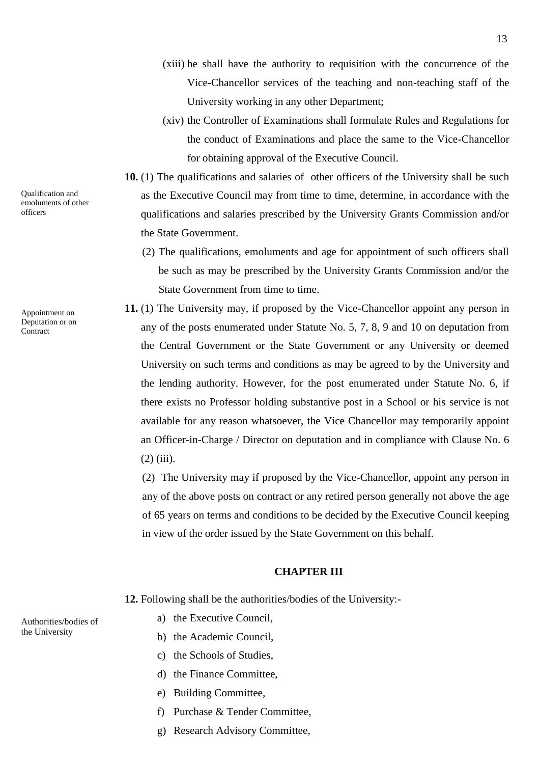Qualification and emoluments of other officers

Appointment on Deputation or on **Contract** 

- (xiii) he shall have the authority to requisition with the concurrence of the Vice-Chancellor services of the teaching and non-teaching staff of the University working in any other Department;
- (xiv) the Controller of Examinations shall formulate Rules and Regulations for the conduct of Examinations and place the same to the Vice-Chancellor for obtaining approval of the Executive Council.
- **10.** (1) The qualifications and salaries of other officers of the University shall be such as the Executive Council may from time to time, determine, in accordance with the qualifications and salaries prescribed by the University Grants Commission and/or the State Government.
	- (2) The qualifications, emoluments and age for appointment of such officers shall be such as may be prescribed by the University Grants Commission and/or the State Government from time to time.
- **11.** (1) The University may, if proposed by the Vice-Chancellor appoint any person in any of the posts enumerated under Statute No. 5, 7, 8, 9 and 10 on deputation from the Central Government or the State Government or any University or deemed University on such terms and conditions as may be agreed to by the University and the lending authority. However, for the post enumerated under Statute No. 6, if there exists no Professor holding substantive post in a School or his service is not available for any reason whatsoever, the Vice Chancellor may temporarily appoint an Officer-in-Charge / Director on deputation and in compliance with Clause No. 6 (2) (iii).

(2) The University may if proposed by the Vice-Chancellor, appoint any person in any of the above posts on contract or any retired person generally not above the age of 65 years on terms and conditions to be decided by the Executive Council keeping in view of the order issued by the State Government on this behalf.

# **CHAPTER III**

**12.** Following shall be the authorities/bodies of the University:-

- a) the Executive Council,
- b) the Academic Council,
- c) the Schools of Studies,
- d) the Finance Committee,
- e) Building Committee,
- f) Purchase & Tender Committee,
- g) Research Advisory Committee,

Authorities/bodies of the University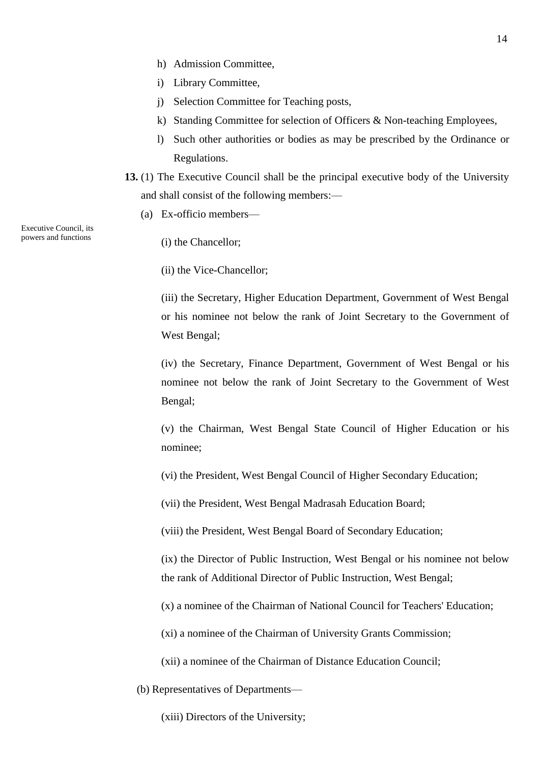- h) Admission Committee,
- i) Library Committee,
- j) Selection Committee for Teaching posts,
- k) Standing Committee for selection of Officers & Non-teaching Employees,
- l) Such other authorities or bodies as may be prescribed by the Ordinance or Regulations.
- **13.** (1) The Executive Council shall be the principal executive body of the University and shall consist of the following members:—
	- (a) Ex-officio members—

Executive Council, its powers and functions

(i) the Chancellor;

(ii) the Vice-Chancellor;

(iii) the Secretary, Higher Education Department, Government of West Bengal or his nominee not below the rank of Joint Secretary to the Government of West Bengal;

(iv) the Secretary, Finance Department, Government of West Bengal or his nominee not below the rank of Joint Secretary to the Government of West Bengal;

(v) the Chairman, West Bengal State Council of Higher Education or his nominee;

(vi) the President, West Bengal Council of Higher Secondary Education;

(vii) the President, West Bengal Madrasah Education Board;

(viii) the President, West Bengal Board of Secondary Education;

(ix) the Director of Public Instruction, West Bengal or his nominee not below the rank of Additional Director of Public Instruction, West Bengal;

(x) a nominee of the Chairman of National Council for Teachers' Education;

(xi) a nominee of the Chairman of University Grants Commission;

- (xii) a nominee of the Chairman of Distance Education Council;
- (b) Representatives of Departments—

(xiii) Directors of the University;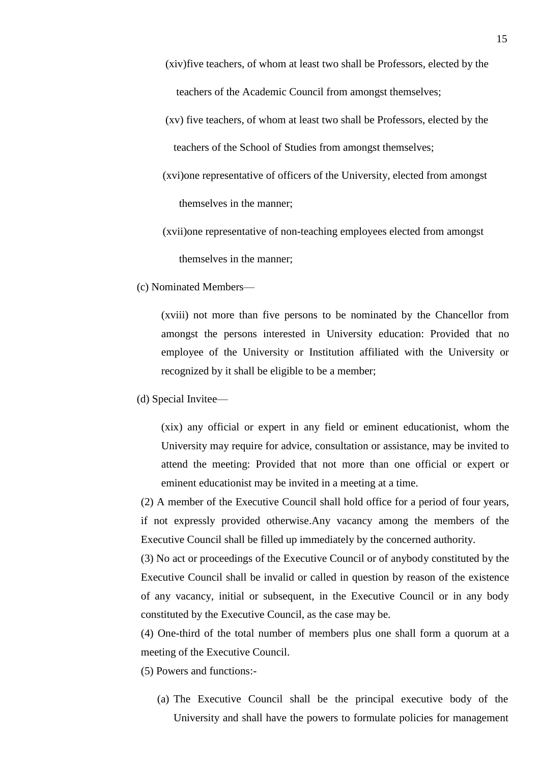- (xiv)five teachers, of whom at least two shall be Professors, elected by the teachers of the Academic Council from amongst themselves;
- (xv) five teachers, of whom at least two shall be Professors, elected by the teachers of the School of Studies from amongst themselves;
- (xvi)one representative of officers of the University, elected from amongst themselves in the manner;
- (xvii)one representative of non-teaching employees elected from amongst themselves in the manner;
- (c) Nominated Members—

(xviii) not more than five persons to be nominated by the Chancellor from amongst the persons interested in University education: Provided that no employee of the University or Institution affiliated with the University or recognized by it shall be eligible to be a member;

(d) Special Invitee—

(xix) any official or expert in any field or eminent educationist, whom the University may require for advice, consultation or assistance, may be invited to attend the meeting: Provided that not more than one official or expert or eminent educationist may be invited in a meeting at a time.

(2) A member of the Executive Council shall hold office for a period of four years, if not expressly provided otherwise.Any vacancy among the members of the Executive Council shall be filled up immediately by the concerned authority.

(3) No act or proceedings of the Executive Council or of anybody constituted by the Executive Council shall be invalid or called in question by reason of the existence of any vacancy, initial or subsequent, in the Executive Council or in any body constituted by the Executive Council, as the case may be.

(4) One-third of the total number of members plus one shall form a quorum at a meeting of the Executive Council.

(5) Powers and functions:-

(a) The Executive Council shall be the principal executive body of the University and shall have the powers to formulate policies for management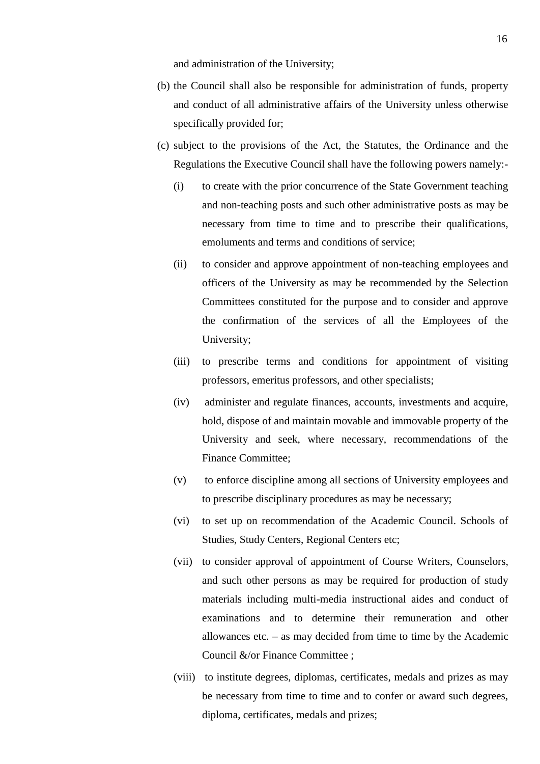and administration of the University;

- (b) the Council shall also be responsible for administration of funds, property and conduct of all administrative affairs of the University unless otherwise specifically provided for;
- (c) subject to the provisions of the Act, the Statutes, the Ordinance and the Regulations the Executive Council shall have the following powers namely:-
	- (i) to create with the prior concurrence of the State Government teaching and non-teaching posts and such other administrative posts as may be necessary from time to time and to prescribe their qualifications, emoluments and terms and conditions of service;
	- (ii) to consider and approve appointment of non-teaching employees and officers of the University as may be recommended by the Selection Committees constituted for the purpose and to consider and approve the confirmation of the services of all the Employees of the University;
	- (iii) to prescribe terms and conditions for appointment of visiting professors, emeritus professors, and other specialists;
	- (iv) administer and regulate finances, accounts, investments and acquire, hold, dispose of and maintain movable and immovable property of the University and seek, where necessary, recommendations of the Finance Committee;
	- (v) to enforce discipline among all sections of University employees and to prescribe disciplinary procedures as may be necessary;
	- (vi) to set up on recommendation of the Academic Council. Schools of Studies, Study Centers, Regional Centers etc;
	- (vii) to consider approval of appointment of Course Writers, Counselors, and such other persons as may be required for production of study materials including multi-media instructional aides and conduct of examinations and to determine their remuneration and other allowances etc. – as may decided from time to time by the Academic Council &/or Finance Committee ;
	- (viii) to institute degrees, diplomas, certificates, medals and prizes as may be necessary from time to time and to confer or award such degrees, diploma, certificates, medals and prizes;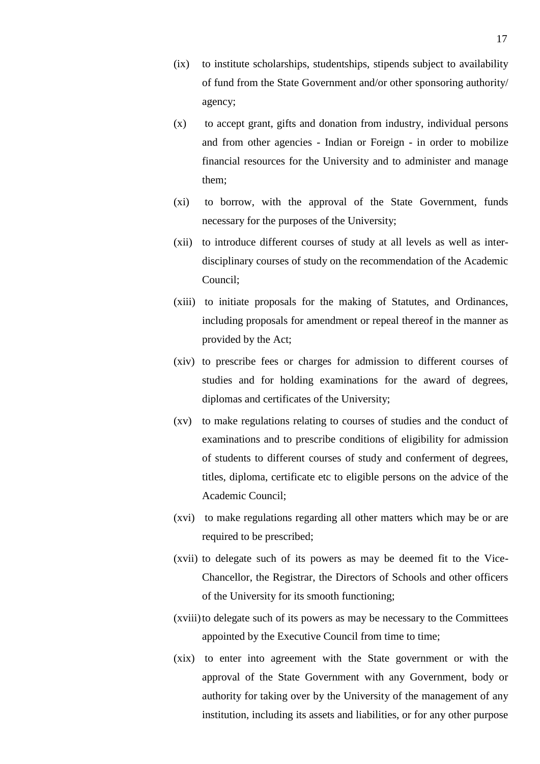- (ix) to institute scholarships, studentships, stipends subject to availability of fund from the State Government and/or other sponsoring authority/ agency;
- (x) to accept grant, gifts and donation from industry, individual persons and from other agencies - Indian or Foreign - in order to mobilize financial resources for the University and to administer and manage them;
- (xi) to borrow, with the approval of the State Government, funds necessary for the purposes of the University;
- (xii) to introduce different courses of study at all levels as well as interdisciplinary courses of study on the recommendation of the Academic Council;
- (xiii) to initiate proposals for the making of Statutes, and Ordinances, including proposals for amendment or repeal thereof in the manner as provided by the Act;
- (xiv) to prescribe fees or charges for admission to different courses of studies and for holding examinations for the award of degrees, diplomas and certificates of the University;
- (xv) to make regulations relating to courses of studies and the conduct of examinations and to prescribe conditions of eligibility for admission of students to different courses of study and conferment of degrees, titles, diploma, certificate etc to eligible persons on the advice of the Academic Council;
- (xvi) to make regulations regarding all other matters which may be or are required to be prescribed;
- (xvii) to delegate such of its powers as may be deemed fit to the Vice-Chancellor, the Registrar, the Directors of Schools and other officers of the University for its smooth functioning;
- (xviii)to delegate such of its powers as may be necessary to the Committees appointed by the Executive Council from time to time;
- (xix) to enter into agreement with the State government or with the approval of the State Government with any Government, body or authority for taking over by the University of the management of any institution, including its assets and liabilities, or for any other purpose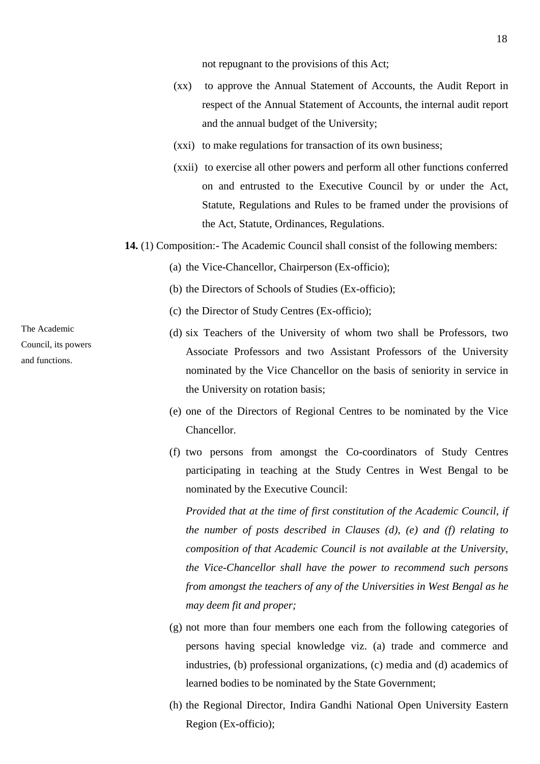not repugnant to the provisions of this Act;

- (xx) to approve the Annual Statement of Accounts, the Audit Report in respect of the Annual Statement of Accounts, the internal audit report and the annual budget of the University;
- (xxi) to make regulations for transaction of its own business;
- (xxii) to exercise all other powers and perform all other functions conferred on and entrusted to the Executive Council by or under the Act, Statute, Regulations and Rules to be framed under the provisions of the Act, Statute, Ordinances, Regulations.
- **14.** (1) Composition:- The Academic Council shall consist of the following members:
	- (a) the Vice-Chancellor, Chairperson (Ex-officio);
	- (b) the Directors of Schools of Studies (Ex-officio);
	- (c) the Director of Study Centres (Ex-officio);
	- (d) six Teachers of the University of whom two shall be Professors, two Associate Professors and two Assistant Professors of the University nominated by the Vice Chancellor on the basis of seniority in service in the University on rotation basis;
	- (e) one of the Directors of Regional Centres to be nominated by the Vice Chancellor.
	- (f) two persons from amongst the Co-coordinators of Study Centres participating in teaching at the Study Centres in West Bengal to be nominated by the Executive Council:

 *Provided that at the time of first constitution of the Academic Council, if the number of posts described in Clauses (d), (e) and (f) relating to composition of that Academic Council is not available at the University, the Vice-Chancellor shall have the power to recommend such persons from amongst the teachers of any of the Universities in West Bengal as he may deem fit and proper;*

- (g) not more than four members one each from the following categories of persons having special knowledge viz. (a) trade and commerce and industries, (b) professional organizations, (c) media and (d) academics of learned bodies to be nominated by the State Government;
- (h) the Regional Director, Indira Gandhi National Open University Eastern Region (Ex-officio);

The Academic Council, its powers and functions.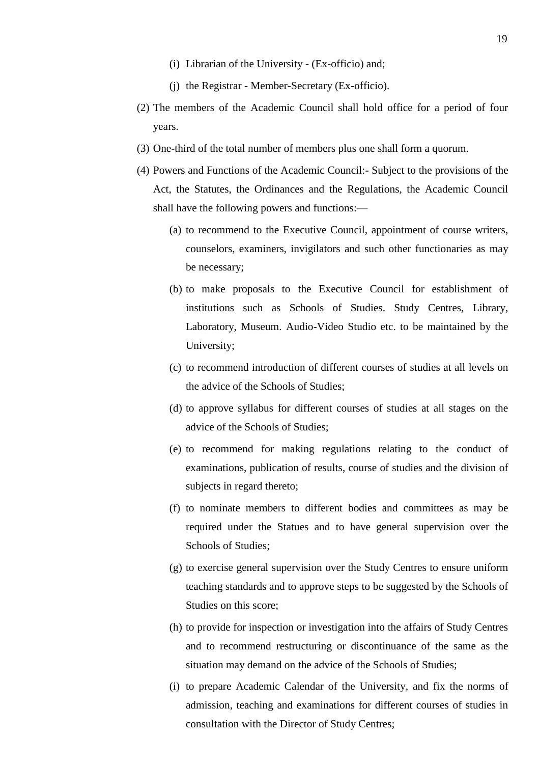- (i) Librarian of the University (Ex-officio) and;
- (j) the Registrar Member-Secretary (Ex-officio).
- (2) The members of the Academic Council shall hold office for a period of four years.
- (3) One-third of the total number of members plus one shall form a quorum.
- (4) Powers and Functions of the Academic Council:- Subject to the provisions of the Act, the Statutes, the Ordinances and the Regulations, the Academic Council shall have the following powers and functions:—
	- (a) to recommend to the Executive Council, appointment of course writers, counselors, examiners, invigilators and such other functionaries as may be necessary;
	- (b) to make proposals to the Executive Council for establishment of institutions such as Schools of Studies. Study Centres, Library, Laboratory, Museum. Audio-Video Studio etc. to be maintained by the University;
	- (c) to recommend introduction of different courses of studies at all levels on the advice of the Schools of Studies;
	- (d) to approve syllabus for different courses of studies at all stages on the advice of the Schools of Studies;
	- (e) to recommend for making regulations relating to the conduct of examinations, publication of results, course of studies and the division of subjects in regard thereto;
	- (f) to nominate members to different bodies and committees as may be required under the Statues and to have general supervision over the Schools of Studies;
	- (g) to exercise general supervision over the Study Centres to ensure uniform teaching standards and to approve steps to be suggested by the Schools of Studies on this score;
	- (h) to provide for inspection or investigation into the affairs of Study Centres and to recommend restructuring or discontinuance of the same as the situation may demand on the advice of the Schools of Studies;
	- (i) to prepare Academic Calendar of the University, and fix the norms of admission, teaching and examinations for different courses of studies in consultation with the Director of Study Centres;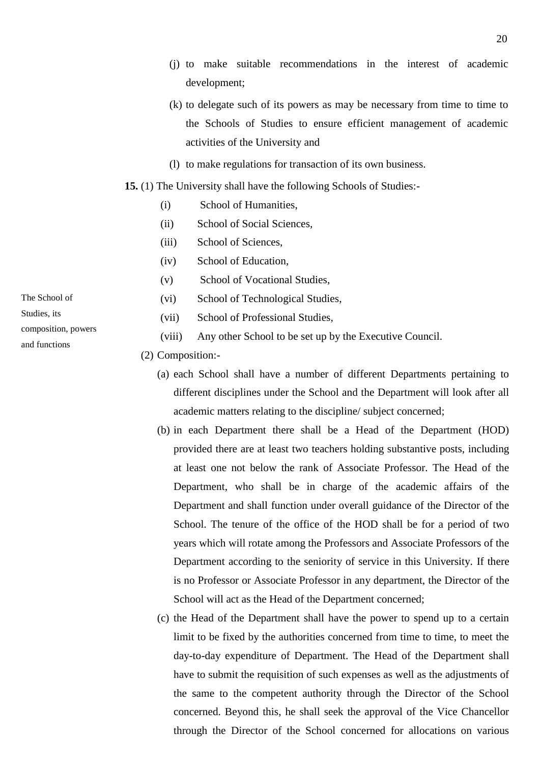- (j) to make suitable recommendations in the interest of academic development;
- (k) to delegate such of its powers as may be necessary from time to time to the Schools of Studies to ensure efficient management of academic activities of the University and
- (l) to make regulations for transaction of its own business.

#### **15.** (1) The University shall have the following Schools of Studies:-

- (i) School of Humanities,
- (ii) School of Social Sciences,
- (iii) School of Sciences,
- (iv) School of Education,
- (v) School of Vocational Studies,
- (vi) School of Technological Studies,
- (vii) School of Professional Studies,
- (viii) Any other School to be set up by the Executive Council.

(2) Composition:-

- (a) each School shall have a number of different Departments pertaining to different disciplines under the School and the Department will look after all academic matters relating to the discipline/ subject concerned;
- (b) in each Department there shall be a Head of the Department (HOD) provided there are at least two teachers holding substantive posts, including at least one not below the rank of Associate Professor. The Head of the Department, who shall be in charge of the academic affairs of the Department and shall function under overall guidance of the Director of the School. The tenure of the office of the HOD shall be for a period of two years which will rotate among the Professors and Associate Professors of the Department according to the seniority of service in this University. If there is no Professor or Associate Professor in any department, the Director of the School will act as the Head of the Department concerned;
- (c) the Head of the Department shall have the power to spend up to a certain limit to be fixed by the authorities concerned from time to time, to meet the day-to-day expenditure of Department. The Head of the Department shall have to submit the requisition of such expenses as well as the adjustments of the same to the competent authority through the Director of the School concerned. Beyond this, he shall seek the approval of the Vice Chancellor through the Director of the School concerned for allocations on various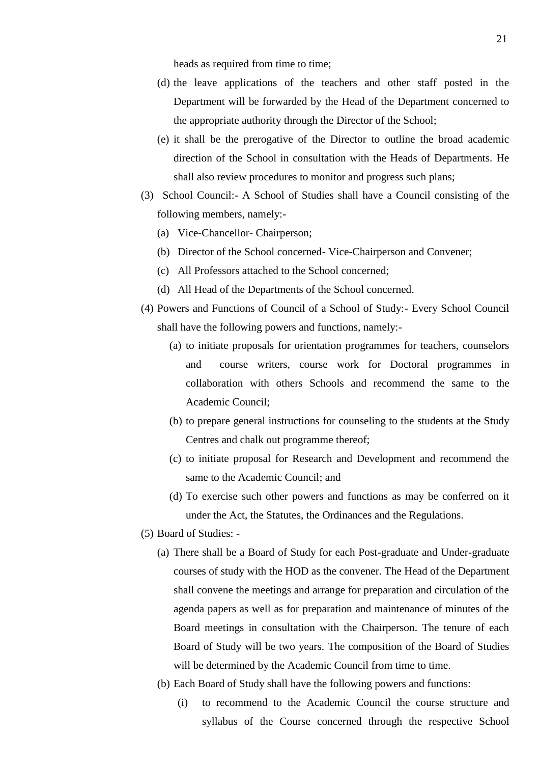heads as required from time to time;

- (d) the leave applications of the teachers and other staff posted in the Department will be forwarded by the Head of the Department concerned to the appropriate authority through the Director of the School;
- (e) it shall be the prerogative of the Director to outline the broad academic direction of the School in consultation with the Heads of Departments. He shall also review procedures to monitor and progress such plans;
- (3) School Council:- A School of Studies shall have a Council consisting of the following members, namely:-
	- (a) Vice-Chancellor- Chairperson;
	- (b) Director of the School concerned- Vice-Chairperson and Convener;
	- (c) All Professors attached to the School concerned;
	- (d) All Head of the Departments of the School concerned.
- (4) Powers and Functions of Council of a School of Study:- Every School Council shall have the following powers and functions, namely:-
	- (a) to initiate proposals for orientation programmes for teachers, counselors and course writers, course work for Doctoral programmes in collaboration with others Schools and recommend the same to the Academic Council;
	- (b) to prepare general instructions for counseling to the students at the Study Centres and chalk out programme thereof;
	- (c) to initiate proposal for Research and Development and recommend the same to the Academic Council; and
	- (d) To exercise such other powers and functions as may be conferred on it under the Act, the Statutes, the Ordinances and the Regulations.
- (5) Board of Studies:
	- (a) There shall be a Board of Study for each Post-graduate and Under-graduate courses of study with the HOD as the convener. The Head of the Department shall convene the meetings and arrange for preparation and circulation of the agenda papers as well as for preparation and maintenance of minutes of the Board meetings in consultation with the Chairperson. The tenure of each Board of Study will be two years. The composition of the Board of Studies will be determined by the Academic Council from time to time.
	- (b) Each Board of Study shall have the following powers and functions:
		- (i) to recommend to the Academic Council the course structure and syllabus of the Course concerned through the respective School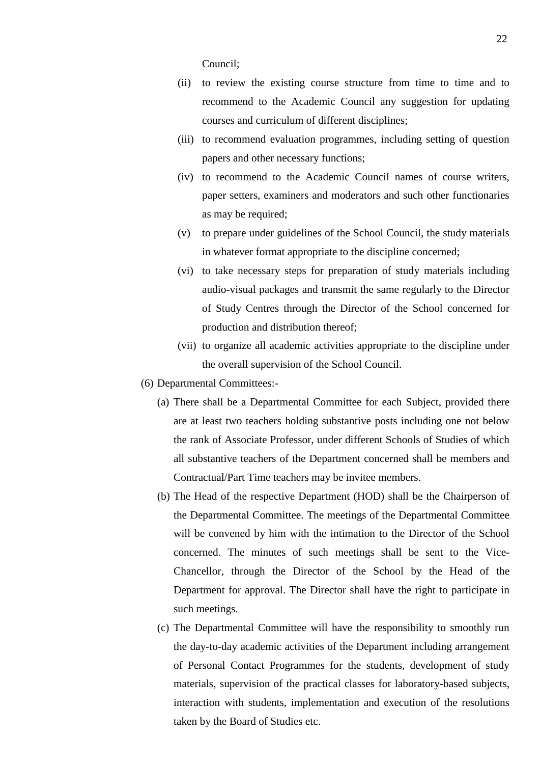Council;

- (ii) to review the existing course structure from time to time and to recommend to the Academic Council any suggestion for updating courses and curriculum of different disciplines;
- (iii) to recommend evaluation programmes, including setting of question papers and other necessary functions;
- (iv) to recommend to the Academic Council names of course writers, paper setters, examiners and moderators and such other functionaries as may be required;
- (v) to prepare under guidelines of the School Council, the study materials in whatever format appropriate to the discipline concerned;
- (vi) to take necessary steps for preparation of study materials including audio-visual packages and transmit the same regularly to the Director of Study Centres through the Director of the School concerned for production and distribution thereof;
- (vii) to organize all academic activities appropriate to the discipline under the overall supervision of the School Council.
- (6) Departmental Committees:-
	- (a) There shall be a Departmental Committee for each Subject, provided there are at least two teachers holding substantive posts including one not below the rank of Associate Professor, under different Schools of Studies of which all substantive teachers of the Department concerned shall be members and Contractual/Part Time teachers may be invitee members.
	- (b) The Head of the respective Department (HOD) shall be the Chairperson of the Departmental Committee. The meetings of the Departmental Committee will be convened by him with the intimation to the Director of the School concerned. The minutes of such meetings shall be sent to the Vice-Chancellor, through the Director of the School by the Head of the Department for approval. The Director shall have the right to participate in such meetings.
	- (c) The Departmental Committee will have the responsibility to smoothly run the day-to-day academic activities of the Department including arrangement of Personal Contact Programmes for the students, development of study materials, supervision of the practical classes for laboratory-based subjects, interaction with students, implementation and execution of the resolutions taken by the Board of Studies etc.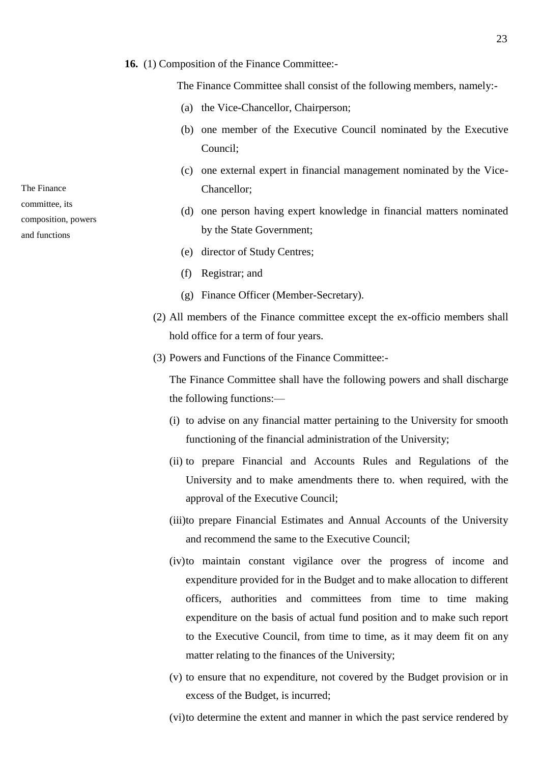#### **16.** (1) Composition of the Finance Committee:-

The Finance Committee shall consist of the following members, namely:-

- (a) the Vice-Chancellor, Chairperson;
- (b) one member of the Executive Council nominated by the Executive Council;
- (c) one external expert in financial management nominated by the Vice-Chancellor;
- (d) one person having expert knowledge in financial matters nominated by the State Government;
- (e) director of Study Centres;
- (f) Registrar; and
- (g) Finance Officer (Member-Secretary).
- (2) All members of the Finance committee except the ex-officio members shall hold office for a term of four years.
- (3) Powers and Functions of the Finance Committee:-

The Finance Committee shall have the following powers and shall discharge the following functions:—

- (i) to advise on any financial matter pertaining to the University for smooth functioning of the financial administration of the University;
- (ii) to prepare Financial and Accounts Rules and Regulations of the University and to make amendments there to. when required, with the approval of the Executive Council;
- (iii)to prepare Financial Estimates and Annual Accounts of the University and recommend the same to the Executive Council;
- (iv)to maintain constant vigilance over the progress of income and expenditure provided for in the Budget and to make allocation to different officers, authorities and committees from time to time making expenditure on the basis of actual fund position and to make such report to the Executive Council, from time to time, as it may deem fit on any matter relating to the finances of the University;
- (v) to ensure that no expenditure, not covered by the Budget provision or in excess of the Budget, is incurred;
- (vi)to determine the extent and manner in which the past service rendered by

The Finance

committee, its composition, powers

and functions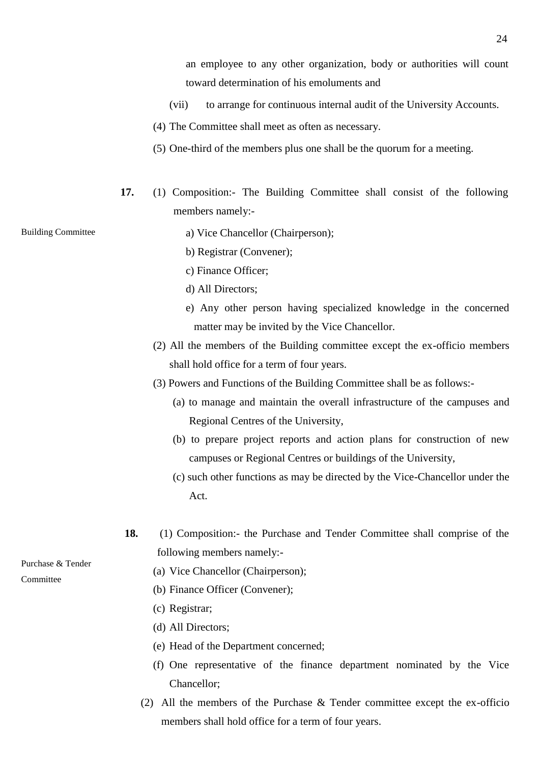an employee to any other organization, body or authorities will count toward determination of his emoluments and

- (vii) to arrange for continuous internal audit of the University Accounts.
- (4) The Committee shall meet as often as necessary.
- (5) One-third of the members plus one shall be the quorum for a meeting.
- **17.** (1) Composition:- The Building Committee shall consist of the following members namely:-

Building Committee

- a) Vice Chancellor (Chairperson);
- b) Registrar (Convener);
- c) Finance Officer;
- d) All Directors;
- e) Any other person having specialized knowledge in the concerned matter may be invited by the Vice Chancellor.
- (2) All the members of the Building committee except the ex-officio members shall hold office for a term of four years.
- (3) Powers and Functions of the Building Committee shall be as follows:-
	- (a) to manage and maintain the overall infrastructure of the campuses and Regional Centres of the University,
	- (b) to prepare project reports and action plans for construction of new campuses or Regional Centres or buildings of the University,
	- (c) such other functions as may be directed by the Vice-Chancellor under the Act.
- **18.** (1) Composition:- the Purchase and Tender Committee shall comprise of the following members namely:-

Purchase & Tender Committee

- (a) Vice Chancellor (Chairperson);
- (b) Finance Officer (Convener);
- (c) Registrar;
- (d) All Directors;
- (e) Head of the Department concerned;
- (f) One representative of the finance department nominated by the Vice Chancellor;
- (2) All the members of the Purchase & Tender committee except the ex-officio members shall hold office for a term of four years.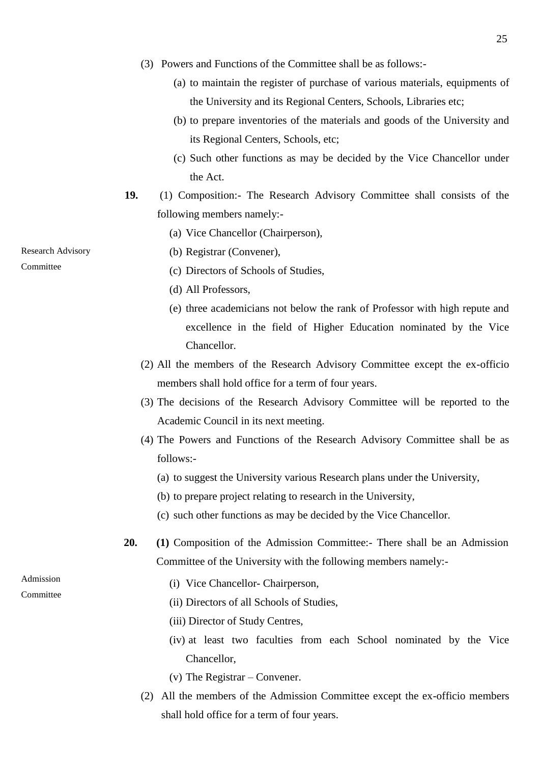- (3) Powers and Functions of the Committee shall be as follows:-
	- (a) to maintain the register of purchase of various materials, equipments of the University and its Regional Centers, Schools, Libraries etc;
	- (b) to prepare inventories of the materials and goods of the University and its Regional Centers, Schools, etc;
	- (c) Such other functions as may be decided by the Vice Chancellor under the Act.
- **19.** (1) Composition:- The Research Advisory Committee shall consists of the following members namely:-
	- (a) Vice Chancellor (Chairperson),
	- (b) Registrar (Convener),
		- (c) Directors of Schools of Studies,
		- (d) All Professors,
		- (e) three academicians not below the rank of Professor with high repute and excellence in the field of Higher Education nominated by the Vice Chancellor.
	- (2) All the members of the Research Advisory Committee except the ex-officio members shall hold office for a term of four years.
	- (3) The decisions of the Research Advisory Committee will be reported to the Academic Council in its next meeting.
	- (4) The Powers and Functions of the Research Advisory Committee shall be as follows:-
		- (a) to suggest the University various Research plans under the University,
		- (b) to prepare project relating to research in the University,
		- (c) such other functions as may be decided by the Vice Chancellor.
- **20. (1)** Composition of the Admission Committee:- There shall be an Admission Committee of the University with the following members namely:-
	- (i) Vice Chancellor- Chairperson,
	- (ii) Directors of all Schools of Studies,
	- (iii) Director of Study Centres,
	- (iv) at least two faculties from each School nominated by the Vice Chancellor,
	- (v) The Registrar Convener.
	- (2) All the members of the Admission Committee except the ex-officio members shall hold office for a term of four years.

Research Advisory

**Committee** 

Admission Committee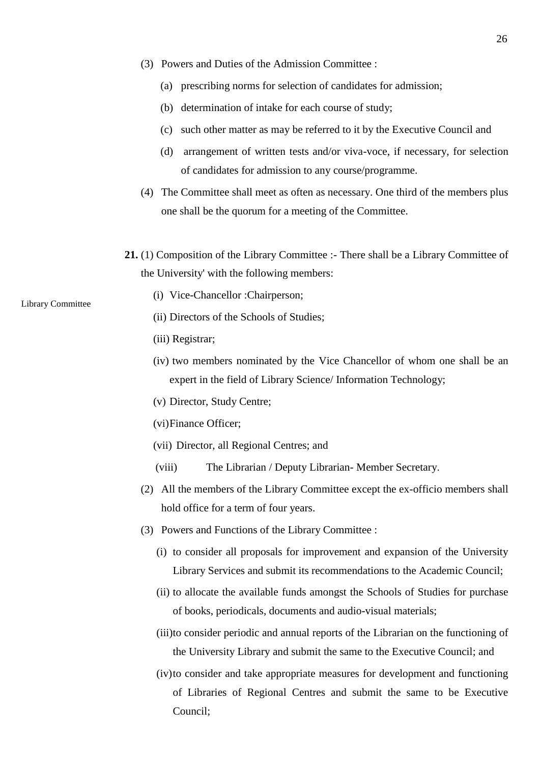- (3) Powers and Duties of the Admission Committee :
	- (a) prescribing norms for selection of candidates for admission;
	- (b) determination of intake for each course of study;
	- (c) such other matter as may be referred to it by the Executive Council and
	- (d) arrangement of written tests and/or viva-voce, if necessary, for selection of candidates for admission to any course/programme.
- (4) The Committee shall meet as often as necessary. One third of the members plus one shall be the quorum for a meeting of the Committee.
- **21.** (1) Composition of the Library Committee :- There shall be a Library Committee of the University' with the following members:
	- (i) Vice-Chancellor :Chairperson;
	- (ii) Directors of the Schools of Studies;
	- (iii) Registrar;
	- (iv) two members nominated by the Vice Chancellor of whom one shall be an expert in the field of Library Science/ Information Technology;
	- (v) Director, Study Centre;
	- (vi)Finance Officer;
	- (vii) Director, all Regional Centres; and
	- (viii) The Librarian / Deputy Librarian- Member Secretary.
	- (2) All the members of the Library Committee except the ex-officio members shall hold office for a term of four years.
	- (3) Powers and Functions of the Library Committee :
		- (i) to consider all proposals for improvement and expansion of the University Library Services and submit its recommendations to the Academic Council;
		- (ii) to allocate the available funds amongst the Schools of Studies for purchase of books, periodicals, documents and audio-visual materials;
		- (iii)to consider periodic and annual reports of the Librarian on the functioning of the University Library and submit the same to the Executive Council; and
		- (iv)to consider and take appropriate measures for development and functioning of Libraries of Regional Centres and submit the same to be Executive Council;

#### Library Committee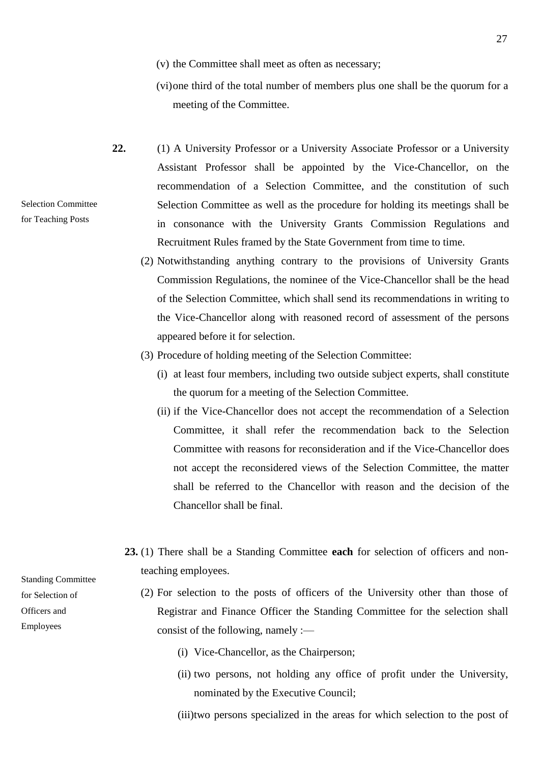- (v) the Committee shall meet as often as necessary;
- (vi)one third of the total number of members plus one shall be the quorum for a meeting of the Committee.
- **22.** (1) A University Professor or a University Associate Professor or a University Assistant Professor shall be appointed by the Vice-Chancellor, on the recommendation of a Selection Committee, and the constitution of such Selection Committee as well as the procedure for holding its meetings shall be in consonance with the University Grants Commission Regulations and Recruitment Rules framed by the State Government from time to time.
	- (2) Notwithstanding anything contrary to the provisions of University Grants Commission Regulations, the nominee of the Vice-Chancellor shall be the head of the Selection Committee, which shall send its recommendations in writing to the Vice-Chancellor along with reasoned record of assessment of the persons appeared before it for selection.
	- (3) Procedure of holding meeting of the Selection Committee:
		- (i) at least four members, including two outside subject experts, shall constitute the quorum for a meeting of the Selection Committee.
		- (ii) if the Vice-Chancellor does not accept the recommendation of a Selection Committee, it shall refer the recommendation back to the Selection Committee with reasons for reconsideration and if the Vice-Chancellor does not accept the reconsidered views of the Selection Committee, the matter shall be referred to the Chancellor with reason and the decision of the Chancellor shall be final.
	- **23.** (1) There shall be a Standing Committee **each** for selection of officers and nonteaching employees.
		- (2) For selection to the posts of officers of the University other than those of Registrar and Finance Officer the Standing Committee for the selection shall consist of the following, namely :—
			- (i) Vice-Chancellor, as the Chairperson;
			- (ii) two persons, not holding any office of profit under the University, nominated by the Executive Council;

(iii)two persons specialized in the areas for which selection to the post of

Standing Committee for Selection of Officers and Employees

Selection Committee for Teaching Posts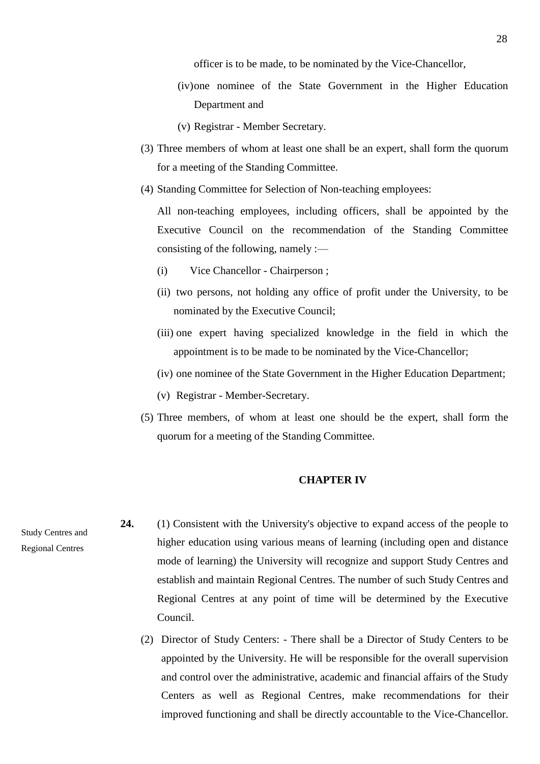officer is to be made, to be nominated by the Vice-Chancellor,

- (iv)one nominee of the State Government in the Higher Education Department and
- (v) Registrar Member Secretary.
- (3) Three members of whom at least one shall be an expert, shall form the quorum for a meeting of the Standing Committee.
- (4) Standing Committee for Selection of Non-teaching employees:

All non-teaching employees, including officers, shall be appointed by the Executive Council on the recommendation of the Standing Committee consisting of the following, namely :—

- (i) Vice Chancellor Chairperson ;
- (ii) two persons, not holding any office of profit under the University, to be nominated by the Executive Council;
- (iii) one expert having specialized knowledge in the field in which the appointment is to be made to be nominated by the Vice-Chancellor;
- (iv) one nominee of the State Government in the Higher Education Department;
- (v) Registrar Member-Secretary.
- (5) Three members, of whom at least one should be the expert, shall form the quorum for a meeting of the Standing Committee.

### **CHAPTER IV**

**24.** (1) Consistent with the University's objective to expand access of the people to higher education using various means of learning (including open and distance mode of learning) the University will recognize and support Study Centres and establish and maintain Regional Centres. The number of such Study Centres and Regional Centres at any point of time will be determined by the Executive Council.

> (2) Director of Study Centers: - There shall be a Director of Study Centers to be appointed by the University. He will be responsible for the overall supervision and control over the administrative, academic and financial affairs of the Study Centers as well as Regional Centres, make recommendations for their improved functioning and shall be directly accountable to the Vice-Chancellor.

Study Centres and Regional Centres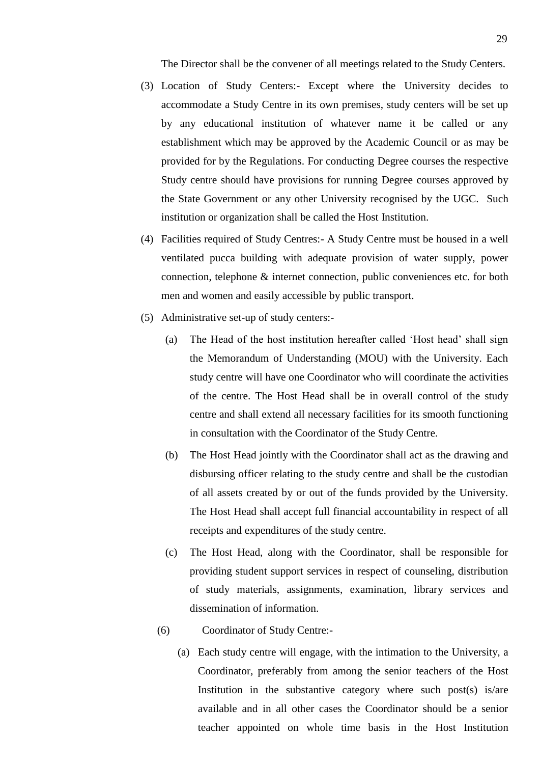The Director shall be the convener of all meetings related to the Study Centers.

- (3) Location of Study Centers:- Except where the University decides to accommodate a Study Centre in its own premises, study centers will be set up by any educational institution of whatever name it be called or any establishment which may be approved by the Academic Council or as may be provided for by the Regulations. For conducting Degree courses the respective Study centre should have provisions for running Degree courses approved by the State Government or any other University recognised by the UGC. Such institution or organization shall be called the Host Institution.
- (4) Facilities required of Study Centres:- A Study Centre must be housed in a well ventilated pucca building with adequate provision of water supply, power connection, telephone & internet connection, public conveniences etc. for both men and women and easily accessible by public transport.
- (5) Administrative set-up of study centers:-
	- (a) The Head of the host institution hereafter called 'Host head' shall sign the Memorandum of Understanding (MOU) with the University. Each study centre will have one Coordinator who will coordinate the activities of the centre. The Host Head shall be in overall control of the study centre and shall extend all necessary facilities for its smooth functioning in consultation with the Coordinator of the Study Centre.
	- (b) The Host Head jointly with the Coordinator shall act as the drawing and disbursing officer relating to the study centre and shall be the custodian of all assets created by or out of the funds provided by the University. The Host Head shall accept full financial accountability in respect of all receipts and expenditures of the study centre.
	- (c) The Host Head, along with the Coordinator, shall be responsible for providing student support services in respect of counseling, distribution of study materials, assignments, examination, library services and dissemination of information.
	- (6) Coordinator of Study Centre:-
		- (a) Each study centre will engage, with the intimation to the University, a Coordinator, preferably from among the senior teachers of the Host Institution in the substantive category where such post(s) is/are available and in all other cases the Coordinator should be a senior teacher appointed on whole time basis in the Host Institution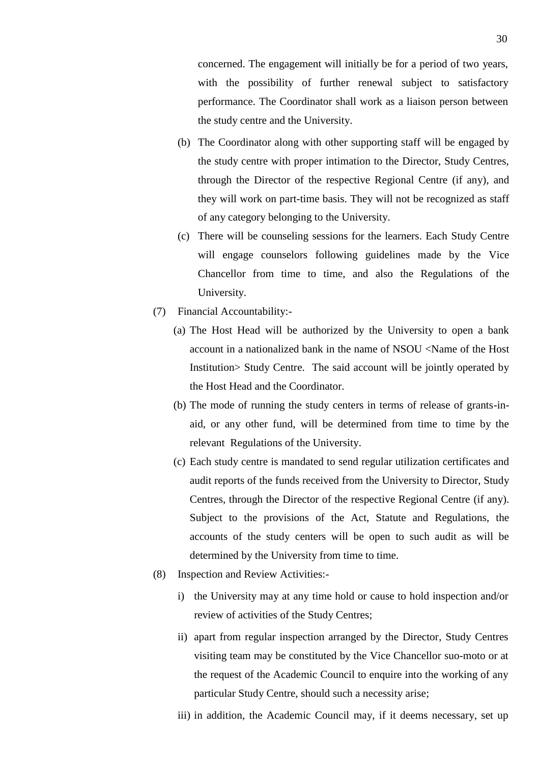concerned. The engagement will initially be for a period of two years, with the possibility of further renewal subject to satisfactory performance. The Coordinator shall work as a liaison person between the study centre and the University.

- (b) The Coordinator along with other supporting staff will be engaged by the study centre with proper intimation to the Director, Study Centres, through the Director of the respective Regional Centre (if any), and they will work on part-time basis. They will not be recognized as staff of any category belonging to the University.
- (c) There will be counseling sessions for the learners. Each Study Centre will engage counselors following guidelines made by the Vice Chancellor from time to time, and also the Regulations of the University.
- (7) Financial Accountability:-
	- (a) The Host Head will be authorized by the University to open a bank account in a nationalized bank in the name of NSOU <Name of the Host Institution> Study Centre. The said account will be jointly operated by the Host Head and the Coordinator.
	- (b) The mode of running the study centers in terms of release of grants-inaid, or any other fund, will be determined from time to time by the relevant Regulations of the University.
	- (c) Each study centre is mandated to send regular utilization certificates and audit reports of the funds received from the University to Director, Study Centres, through the Director of the respective Regional Centre (if any). Subject to the provisions of the Act, Statute and Regulations, the accounts of the study centers will be open to such audit as will be determined by the University from time to time.
- (8) Inspection and Review Activities:
	- i) the University may at any time hold or cause to hold inspection and/or review of activities of the Study Centres;
	- ii) apart from regular inspection arranged by the Director, Study Centres visiting team may be constituted by the Vice Chancellor suo-moto or at the request of the Academic Council to enquire into the working of any particular Study Centre, should such a necessity arise;
	- iii) in addition, the Academic Council may, if it deems necessary, set up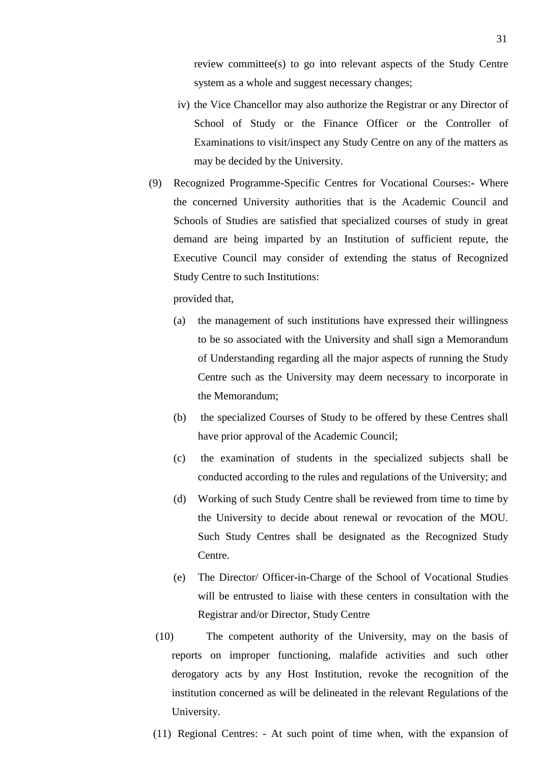review committee(s) to go into relevant aspects of the Study Centre system as a whole and suggest necessary changes;

- iv) the Vice Chancellor may also authorize the Registrar or any Director of School of Study or the Finance Officer or the Controller of Examinations to visit/inspect any Study Centre on any of the matters as may be decided by the University.
- (9) Recognized Programme-Specific Centres for Vocational Courses:**-** Where the concerned University authorities that is the Academic Council and Schools of Studies are satisfied that specialized courses of study in great demand are being imparted by an Institution of sufficient repute, the Executive Council may consider of extending the status of Recognized Study Centre to such Institutions:

provided that,

- (a) the management of such institutions have expressed their willingness to be so associated with the University and shall sign a Memorandum of Understanding regarding all the major aspects of running the Study Centre such as the University may deem necessary to incorporate in the Memorandum;
- (b) the specialized Courses of Study to be offered by these Centres shall have prior approval of the Academic Council;
- (c) the examination of students in the specialized subjects shall be conducted according to the rules and regulations of the University; and
- (d) Working of such Study Centre shall be reviewed from time to time by the University to decide about renewal or revocation of the MOU. Such Study Centres shall be designated as the Recognized Study Centre.
- (e) The Director/ Officer-in-Charge of the School of Vocational Studies will be entrusted to liaise with these centers in consultation with the Registrar and/or Director, Study Centre
- (10) The competent authority of the University, may on the basis of reports on improper functioning, malafide activities and such other derogatory acts by any Host Institution, revoke the recognition of the institution concerned as will be delineated in the relevant Regulations of the University.
- (11) Regional Centres: At such point of time when, with the expansion of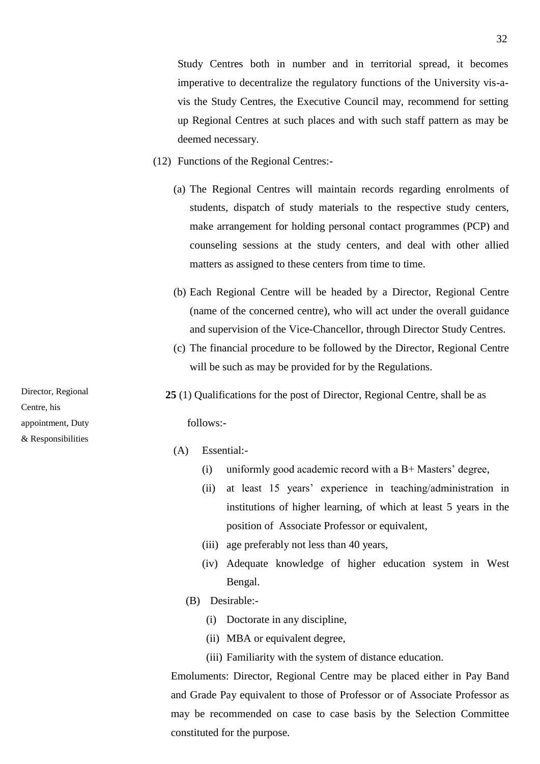Study Centres both in number and in territorial spread, it becomes imperative to decentralize the regulatory functions of the University vis-avis the Study Centres, the Executive Council may, recommend for setting up Regional Centres at such places and with such staff pattern as may be deemed necessary.

- (12) Functions of the Regional Centres:-
	- (a) The Regional Centres will maintain records regarding enrolments of students, dispatch of study materials to the respective study centers, make arrangement for holding personal contact programmes (PCP) and counseling sessions at the study centers, and deal with other allied matters as assigned to these centers from time to time.
	- (b) Each Regional Centre will be headed by a Director, Regional Centre (name of the concerned centre), who will act under the overall guidance and supervision of the Vice-Chancellor, through Director Study Centres.
	- (c) The financial procedure to be followed by the Director, Regional Centre will be such as may be provided for by the Regulations.
	- **25** (1) Qualifications for the post of Director, Regional Centre, shall be as follows:-
		- (A) Essential:-
			- (i) uniformly good academic record with a B+ Masters' degree,
			- (ii) at least 15 years' experience in teaching/administration in institutions of higher learning, of which at least 5 years in the position of Associate Professor or equivalent,
			- (iii) age preferably not less than 40 years,
			- (iv) Adequate knowledge of higher education system in West Bengal.
			- (B) Desirable:-
				- (i) Doctorate in any discipline,
				- (ii) MBA or equivalent degree,
				- (iii) Familiarity with the system of distance education.

Emoluments: Director, Regional Centre may be placed either in Pay Band and Grade Pay equivalent to those of Professor or of Associate Professor as may be recommended on case to case basis by the Selection Committee constituted for the purpose.

Director, Regional Centre, his appointment, Duty & Responsibilities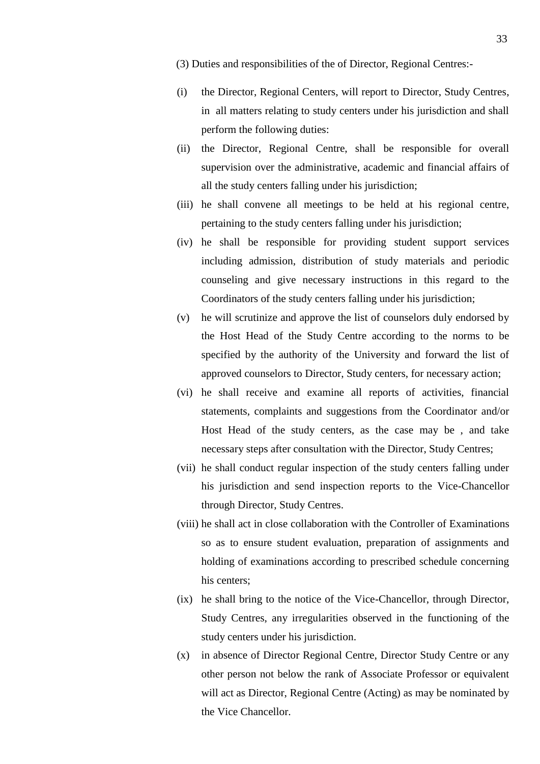(3) Duties and responsibilities of the of Director, Regional Centres:-

- (i) the Director, Regional Centers, will report to Director, Study Centres, in all matters relating to study centers under his jurisdiction and shall perform the following duties:
- (ii) the Director, Regional Centre, shall be responsible for overall supervision over the administrative, academic and financial affairs of all the study centers falling under his jurisdiction;
- (iii) he shall convene all meetings to be held at his regional centre, pertaining to the study centers falling under his jurisdiction;
- (iv) he shall be responsible for providing student support services including admission, distribution of study materials and periodic counseling and give necessary instructions in this regard to the Coordinators of the study centers falling under his jurisdiction;
- (v) he will scrutinize and approve the list of counselors duly endorsed by the Host Head of the Study Centre according to the norms to be specified by the authority of the University and forward the list of approved counselors to Director, Study centers, for necessary action;
- (vi) he shall receive and examine all reports of activities, financial statements, complaints and suggestions from the Coordinator and/or Host Head of the study centers, as the case may be , and take necessary steps after consultation with the Director, Study Centres;
- (vii) he shall conduct regular inspection of the study centers falling under his jurisdiction and send inspection reports to the Vice-Chancellor through Director, Study Centres.
- (viii) he shall act in close collaboration with the Controller of Examinations so as to ensure student evaluation, preparation of assignments and holding of examinations according to prescribed schedule concerning his centers;
- (ix) he shall bring to the notice of the Vice-Chancellor, through Director, Study Centres, any irregularities observed in the functioning of the study centers under his jurisdiction.
- (x) in absence of Director Regional Centre, Director Study Centre or any other person not below the rank of Associate Professor or equivalent will act as Director, Regional Centre (Acting) as may be nominated by the Vice Chancellor.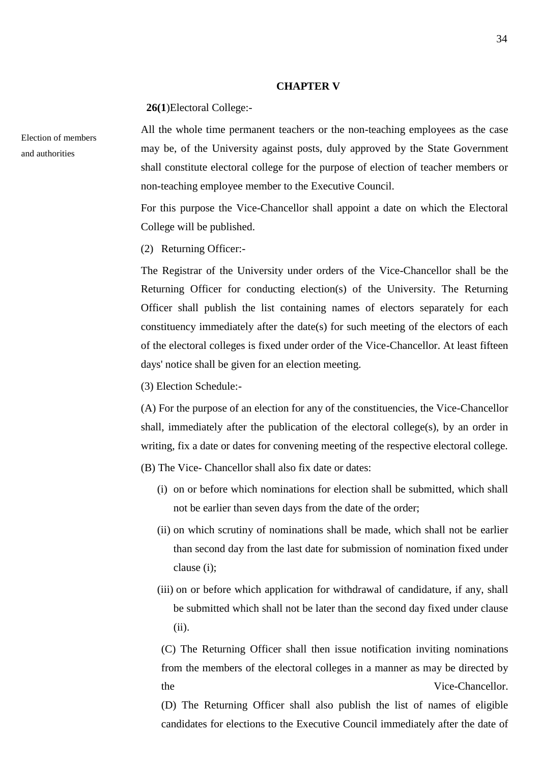#### **CHAPTER V**

**26(1**)Electoral College:-

All the whole time permanent teachers or the non-teaching employees as the case may be, of the University against posts, duly approved by the State Government shall constitute electoral college for the purpose of election of teacher members or non-teaching employee member to the Executive Council.

For this purpose the Vice-Chancellor shall appoint a date on which the Electoral College will be published.

(2) Returning Officer:-

The Registrar of the University under orders of the Vice-Chancellor shall be the Returning Officer for conducting election(s) of the University. The Returning Officer shall publish the list containing names of electors separately for each constituency immediately after the date(s) for such meeting of the electors of each of the electoral colleges is fixed under order of the Vice-Chancellor. At least fifteen days' notice shall be given for an election meeting.

(3) Election Schedule:-

(A) For the purpose of an election for any of the constituencies, the Vice-Chancellor shall, immediately after the publication of the electoral college(s), by an order in writing, fix a date or dates for convening meeting of the respective electoral college.

(B) The Vice- Chancellor shall also fix date or dates:

- (i) on or before which nominations for election shall be submitted, which shall not be earlier than seven days from the date of the order;
- (ii) on which scrutiny of nominations shall be made, which shall not be earlier than second day from the last date for submission of nomination fixed under clause (i);
- (iii) on or before which application for withdrawal of candidature, if any, shall be submitted which shall not be later than the second day fixed under clause (ii).

(C) The Returning Officer shall then issue notification inviting nominations from the members of the electoral colleges in a manner as may be directed by the Vice-Chancellor.

(D) The Returning Officer shall also publish the list of names of eligible candidates for elections to the Executive Council immediately after the date of

Election of members and authorities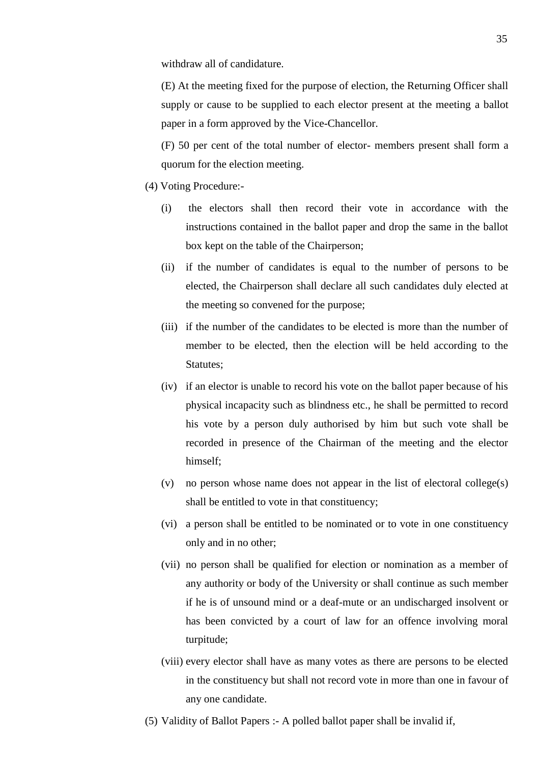withdraw all of candidature.

(E) At the meeting fixed for the purpose of election, the Returning Officer shall supply or cause to be supplied to each elector present at the meeting a ballot paper in a form approved by the Vice-Chancellor.

(F) 50 per cent of the total number of elector- members present shall form a quorum for the election meeting.

- (4) Voting Procedure:-
	- (i) the electors shall then record their vote in accordance with the instructions contained in the ballot paper and drop the same in the ballot box kept on the table of the Chairperson;
	- (ii) if the number of candidates is equal to the number of persons to be elected, the Chairperson shall declare all such candidates duly elected at the meeting so convened for the purpose;
	- (iii) if the number of the candidates to be elected is more than the number of member to be elected, then the election will be held according to the Statutes;
	- (iv) if an elector is unable to record his vote on the ballot paper because of his physical incapacity such as blindness etc., he shall be permitted to record his vote by a person duly authorised by him but such vote shall be recorded in presence of the Chairman of the meeting and the elector himself;
	- (v) no person whose name does not appear in the list of electoral college(s) shall be entitled to vote in that constituency;
	- (vi) a person shall be entitled to be nominated or to vote in one constituency only and in no other;
	- (vii) no person shall be qualified for election or nomination as a member of any authority or body of the University or shall continue as such member if he is of unsound mind or a deaf-mute or an undischarged insolvent or has been convicted by a court of law for an offence involving moral turpitude;
	- (viii) every elector shall have as many votes as there are persons to be elected in the constituency but shall not record vote in more than one in favour of any one candidate.
- (5) Validity of Ballot Papers :- A polled ballot paper shall be invalid if,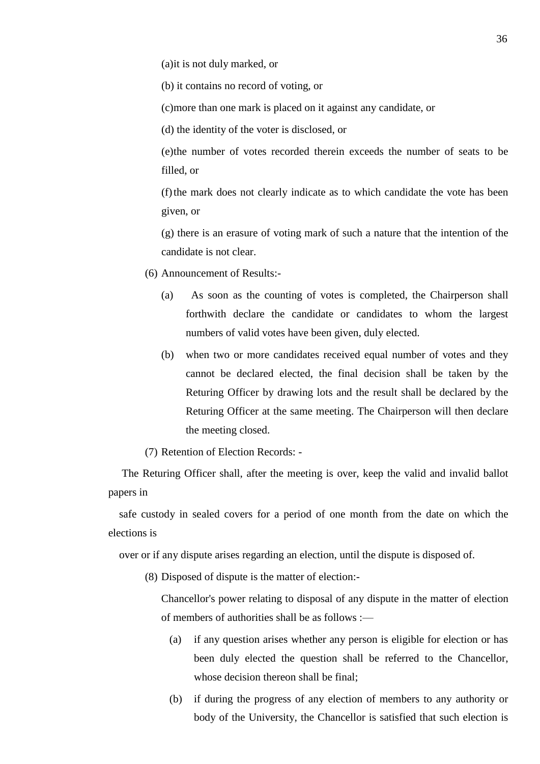(a)it is not duly marked, or

(b) it contains no record of voting, or

(c)more than one mark is placed on it against any candidate, or

(d) the identity of the voter is disclosed, or

(e)the number of votes recorded therein exceeds the number of seats to be filled, or

(f)the mark does not clearly indicate as to which candidate the vote has been given, or

(g) there is an erasure of voting mark of such a nature that the intention of the candidate is not clear.

(6) Announcement of Results:-

- (a) As soon as the counting of votes is completed, the Chairperson shall forthwith declare the candidate or candidates to whom the largest numbers of valid votes have been given, duly elected.
- (b) when two or more candidates received equal number of votes and they cannot be declared elected, the final decision shall be taken by the Returing Officer by drawing lots and the result shall be declared by the Returing Officer at the same meeting. The Chairperson will then declare the meeting closed.

(7) Retention of Election Records: -

 The Returing Officer shall, after the meeting is over, keep the valid and invalid ballot papers in

 safe custody in sealed covers for a period of one month from the date on which the elections is

over or if any dispute arises regarding an election, until the dispute is disposed of.

(8) Disposed of dispute is the matter of election:-

Chancellor's power relating to disposal of any dispute in the matter of election of members of authorities shall be as follows :—

- (a) if any question arises whether any person is eligible for election or has been duly elected the question shall be referred to the Chancellor, whose decision thereon shall be final:
- (b) if during the progress of any election of members to any authority or body of the University, the Chancellor is satisfied that such election is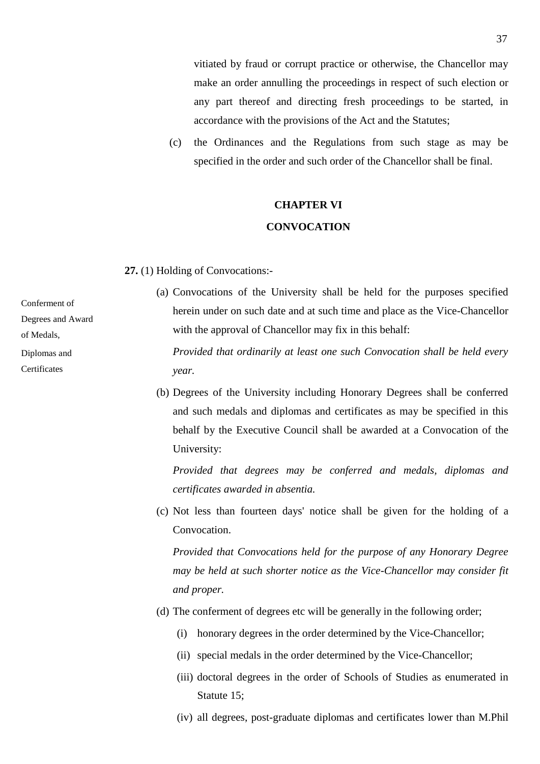vitiated by fraud or corrupt practice or otherwise, the Chancellor may make an order annulling the proceedings in respect of such election or any part thereof and directing fresh proceedings to be started, in accordance with the provisions of the Act and the Statutes;

(c) the Ordinances and the Regulations from such stage as may be specified in the order and such order of the Chancellor shall be final.

# **CHAPTER VI**

#### **CONVOCATION**

**27.** (1) Holding of Convocations:-

Conferment of

Degrees and Award

of Medals,

Diplomas and

**Certificates** 

(a) Convocations of the University shall be held for the purposes specified herein under on such date and at such time and place as the Vice-Chancellor with the approval of Chancellor may fix in this behalf:

 *Provided that ordinarily at least one such Convocation shall be held every year.*

(b) Degrees of the University including Honorary Degrees shall be conferred and such medals and diplomas and certificates as may be specified in this behalf by the Executive Council shall be awarded at a Convocation of the University:

 *Provided that degrees may be conferred and medals, diplomas and certificates awarded in absentia.*

(c) Not less than fourteen days' notice shall be given for the holding of a Convocation.

 *Provided that Convocations held for the purpose of any Honorary Degree may be held at such shorter notice as the Vice-Chancellor may consider fit and proper.*

- (d) The conferment of degrees etc will be generally in the following order;
	- (i) honorary degrees in the order determined by the Vice-Chancellor;
	- (ii) special medals in the order determined by the Vice-Chancellor;
	- (iii) doctoral degrees in the order of Schools of Studies as enumerated in Statute 15;
	- (iv) all degrees, post-graduate diplomas and certificates lower than M.Phil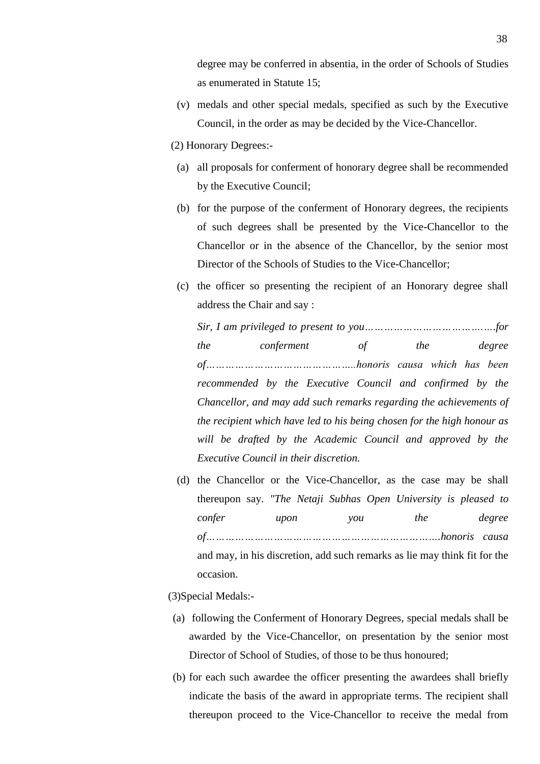degree may be conferred in absentia, in the order of Schools of Studies as enumerated in Statute 15;

- (v) medals and other special medals, specified as such by the Executive Council, in the order as may be decided by the Vice-Chancellor.
- (2) Honorary Degrees:-
	- (a) all proposals for conferment of honorary degree shall be recommended by the Executive Council;
	- (b) for the purpose of the conferment of Honorary degrees, the recipients of such degrees shall be presented by the Vice-Chancellor to the Chancellor or in the absence of the Chancellor, by the senior most Director of the Schools of Studies to the Vice-Chancellor;
	- (c) the officer so presenting the recipient of an Honorary degree shall address the Chair and say :

*Sir, I am privileged to present to you……………………………….….for the conferment of the degree of………………………………………..honoris causa which has been recommended by the Executive Council and confirmed by the Chancellor, and may add such remarks regarding the achievements of the recipient which have led to his being chosen for the high honour as will be drafted by the Academic Council and approved by the Executive Council in their discretion.*

- (d) the Chancellor or the Vice-Chancellor, as the case may be shall thereupon say. *"The Netaji Subhas Open University is pleased to confer upon you the degree of……………………………………………………………….honoris causa* and may, in his discretion, add such remarks as lie may think fit for the occasion.
- (3)Special Medals:-
- (a) following the Conferment of Honorary Degrees, special medals shall be awarded by the Vice-Chancellor, on presentation by the senior most Director of School of Studies, of those to be thus honoured;
- (b) for each such awardee the officer presenting the awardees shall briefly indicate the basis of the award in appropriate terms. The recipient shall thereupon proceed to the Vice-Chancellor to receive the medal from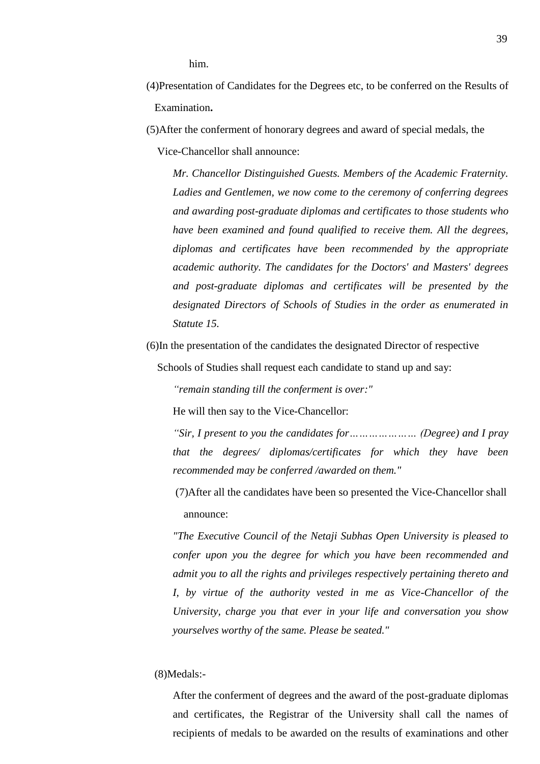him.

- (4)Presentation of Candidates for the Degrees etc, to be conferred on the Results of Examination**.**
- (5)After the conferment of honorary degrees and award of special medals, the

Vice-Chancellor shall announce:

*Mr. Chancellor Distinguished Guests. Members of the Academic Fraternity. Ladies and Gentlemen, we now come to the ceremony of conferring degrees and awarding post-graduate diplomas and certificates to those students who have been examined and found qualified to receive them. All the degrees, diplomas and certificates have been recommended by the appropriate academic authority. The candidates for the Doctors' and Masters' degrees and post-graduate diplomas and certificates will be presented by the designated Directors of Schools of Studies in the order as enumerated in Statute 15.*

(6)In the presentation of the candidates the designated Director of respective

Schools of Studies shall request each candidate to stand up and say:

*"remain standing till the conferment is over:"*

He will then say to the Vice-Chancellor:

*"Sir, I present to you the candidates for………………… (Degree) and I pray that the degrees/ diplomas/certificates for which they have been recommended may be conferred /awarded on them."* 

(7)After all the candidates have been so presented the Vice-Chancellor shall announce:

*"The Executive Council of the Netaji Subhas Open University is pleased to confer upon you the degree for which you have been recommended and admit you to all the rights and privileges respectively pertaining thereto and I, by virtue of the authority vested in me as Vice-Chancellor of the University, charge you that ever in your life and conversation you show yourselves worthy of the same. Please be seated."*

### (8)Medals:-

After the conferment of degrees and the award of the post-graduate diplomas and certificates, the Registrar of the University shall call the names of recipients of medals to be awarded on the results of examinations and other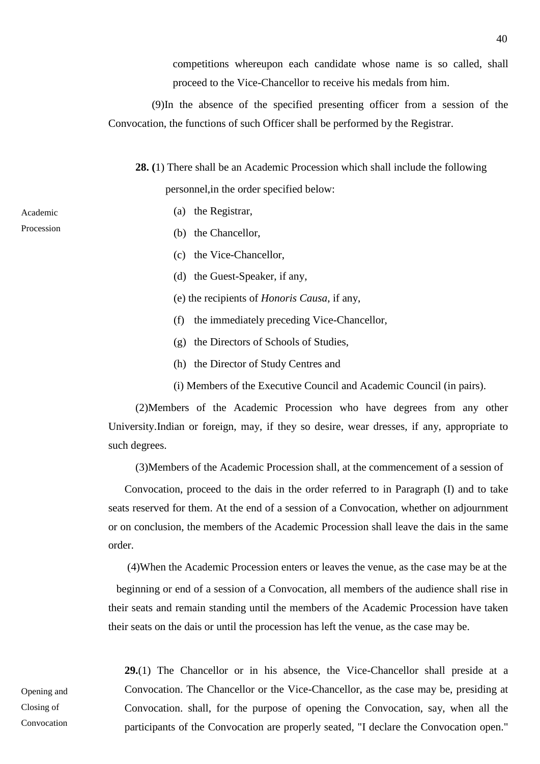competitions whereupon each candidate whose name is so called, shall proceed to the Vice-Chancellor to receive his medals from him.

 (9)In the absence of the specified presenting officer from a session of the Convocation, the functions of such Officer shall be performed by the Registrar.

 **28. (**1) There shall be an Academic Procession which shall include the following personnel,in the order specified below:

- (a) the Registrar,
- (b) the Chancellor,
- (c) the Vice-Chancellor,
- (d) the Guest-Speaker, if any,
- (e) the recipients of *Honoris Causa*, if any,
- (f) the immediately preceding Vice-Chancellor,
- (g) the Directors of Schools of Studies,
- (h) the Director of Study Centres and
- (i) Members of the Executive Council and Academic Council (in pairs).

 (2)Members of the Academic Procession who have degrees from any other University.Indian or foreign, may, if they so desire, wear dresses, if any, appropriate to such degrees.

(3)Members of the Academic Procession shall, at the commencement of a session of

 Convocation, proceed to the dais in the order referred to in Paragraph (I) and to take seats reserved for them. At the end of a session of a Convocation, whether on adjournment or on conclusion, the members of the Academic Procession shall leave the dais in the same order.

(4)When the Academic Procession enters or leaves the venue, as the case may be at the

 beginning or end of a session of a Convocation, all members of the audience shall rise in their seats and remain standing until the members of the Academic Procession have taken their seats on the dais or until the procession has left the venue, as the case may be.

Opening and Closing of Convocation **29.**(1) The Chancellor or in his absence, the Vice-Chancellor shall preside at a Convocation. The Chancellor or the Vice-Chancellor, as the case may be, presiding at Convocation. shall, for the purpose of opening the Convocation, say, when all the participants of the Convocation are properly seated, "I declare the Convocation open."

40

Academic Procession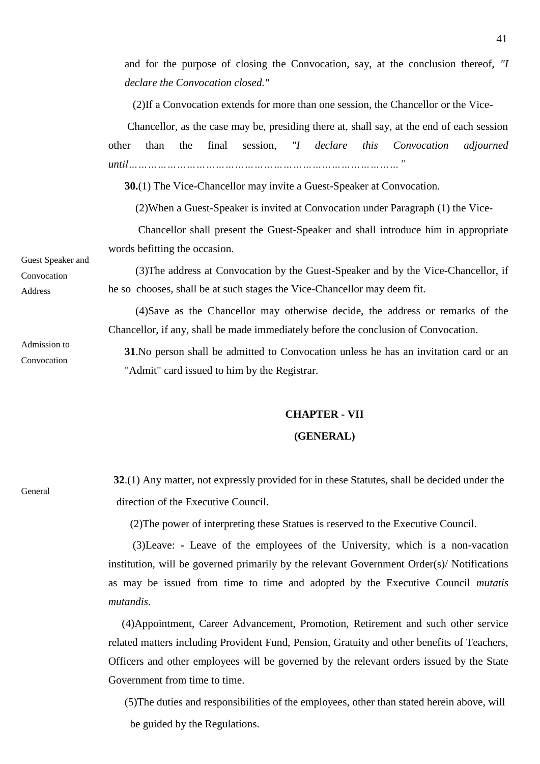and for the purpose of closing the Convocation, say, at the conclusion thereof, *"I declare the Convocation closed."*

(2)If a Convocation extends for more than one session, the Chancellor or the Vice-

 Chancellor, as the case may be, presiding there at, shall say, at the end of each session other than the final session, *"I declare this Convocation adjourned until…………………………………………………………………………"*

**30.**(1) The Vice-Chancellor may invite a Guest-Speaker at Convocation.

(2)When a Guest-Speaker is invited at Convocation under Paragraph (1) the Vice-

 Chancellor shall present the Guest-Speaker and shall introduce him in appropriate words befitting the occasion.

 (3)The address at Convocation by the Guest-Speaker and by the Vice-Chancellor, if he so chooses, shall be at such stages the Vice-Chancellor may deem fit.

 (4)Save as the Chancellor may otherwise decide, the address or remarks of the Chancellor, if any, shall be made immediately before the conclusion of Convocation.

**31**.No person shall be admitted to Convocation unless he has an invitation card or an "Admit" card issued to him by the Registrar.

#### **CHAPTER - VII**

#### **(GENERAL)**

 **32**.(1) Any matter, not expressly provided for in these Statutes, shall be decided under the direction of the Executive Council.

(2)The power of interpreting these Statues is reserved to the Executive Council.

 (3)Leave: **-** Leave of the employees of the University, which is a non-vacation institution, will be governed primarily by the relevant Government Order(s)/ Notifications as may be issued from time to time and adopted by the Executive Council *mutatis mutandis*.

 (4)Appointment, Career Advancement, Promotion, Retirement and such other service related matters including Provident Fund, Pension, Gratuity and other benefits of Teachers, Officers and other employees will be governed by the relevant orders issued by the State Government from time to time.

(5)The duties and responsibilities of the employees, other than stated herein above, will be guided by the Regulations.

General

Guest Speaker and Convocation

Address

Admission to

Convocation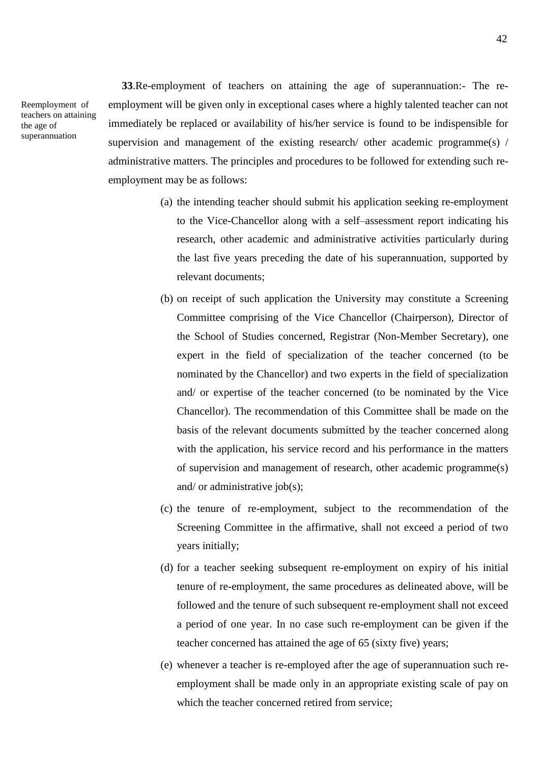Reemployment of teachers on attaining the age of superannuation

 **33**.Re-employment of teachers on attaining the age of superannuation:- The reemployment will be given only in exceptional cases where a highly talented teacher can not immediately be replaced or availability of his/her service is found to be indispensible for supervision and management of the existing research/ other academic programme(s) / administrative matters. The principles and procedures to be followed for extending such reemployment may be as follows:

- (a) the intending teacher should submit his application seeking re-employment to the Vice-Chancellor along with a self–assessment report indicating his research, other academic and administrative activities particularly during the last five years preceding the date of his superannuation, supported by relevant documents;
- (b) on receipt of such application the University may constitute a Screening Committee comprising of the Vice Chancellor (Chairperson), Director of the School of Studies concerned, Registrar (Non-Member Secretary), one expert in the field of specialization of the teacher concerned (to be nominated by the Chancellor) and two experts in the field of specialization and/ or expertise of the teacher concerned (to be nominated by the Vice Chancellor). The recommendation of this Committee shall be made on the basis of the relevant documents submitted by the teacher concerned along with the application, his service record and his performance in the matters of supervision and management of research, other academic programme(s) and/ or administrative job(s);
- (c) the tenure of re-employment, subject to the recommendation of the Screening Committee in the affirmative, shall not exceed a period of two years initially;
- (d) for a teacher seeking subsequent re-employment on expiry of his initial tenure of re-employment, the same procedures as delineated above, will be followed and the tenure of such subsequent re-employment shall not exceed a period of one year. In no case such re-employment can be given if the teacher concerned has attained the age of 65 (sixty five) years;
- (e) whenever a teacher is re-employed after the age of superannuation such reemployment shall be made only in an appropriate existing scale of pay on which the teacher concerned retired from service: